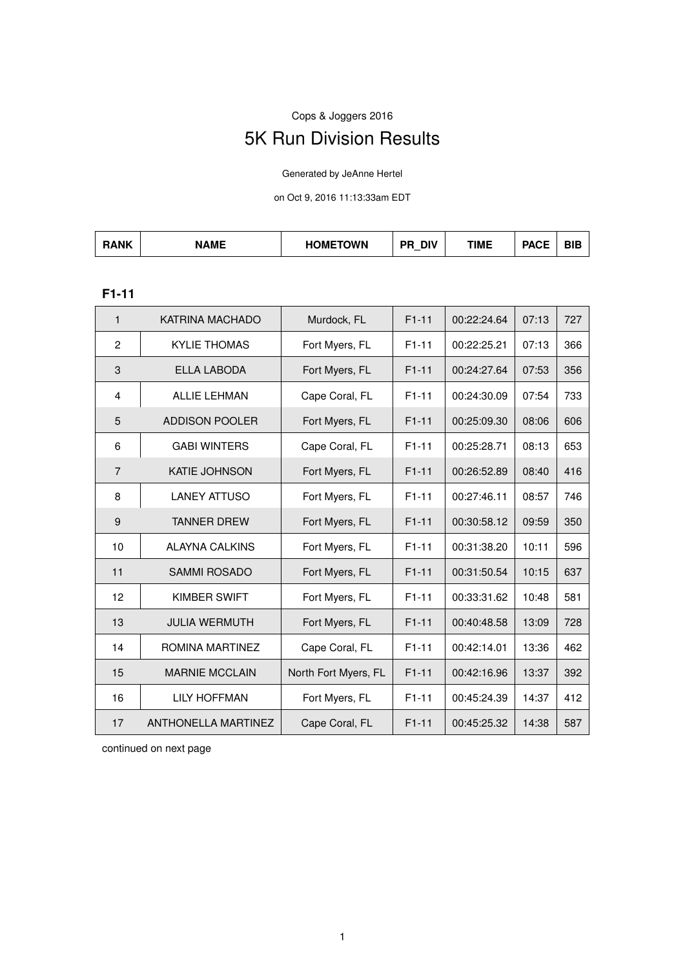# Cops & Joggers 2016 5K Run Division Results

Generated by JeAnne Hertel

on Oct 9, 2016 11:13:33am EDT

| <b>JAME</b><br>. | 10011000001111<br>)M⊢<br><b>JWN</b><br>Π١ | <b>DIV</b><br>DЕ | TIME | <b>DAOF</b> | <b>DIR</b><br>DIE |
|------------------|-------------------------------------------|------------------|------|-------------|-------------------|
|------------------|-------------------------------------------|------------------|------|-------------|-------------------|

### **F1-11**

| $\mathbf{1}$   | <b>KATRINA MACHADO</b>     | Murdock, FL          | $F1-11$ | 00:22:24.64 | 07:13 | 727 |
|----------------|----------------------------|----------------------|---------|-------------|-------|-----|
| 2              | <b>KYLIE THOMAS</b>        | Fort Myers, FL       | $F1-11$ | 00:22:25.21 | 07:13 | 366 |
| 3              | <b>ELLA LABODA</b>         | Fort Myers, FL       | $F1-11$ | 00:24:27.64 | 07:53 | 356 |
| 4              | <b>ALLIE LEHMAN</b>        | Cape Coral, FL       | $F1-11$ | 00:24:30.09 | 07:54 | 733 |
| 5              | ADDISON POOLER             | Fort Myers, FL       | $F1-11$ | 00:25:09.30 | 08:06 | 606 |
| 6              | <b>GABI WINTERS</b>        | Cape Coral, FL       | $F1-11$ | 00:25:28.71 | 08:13 | 653 |
| $\overline{7}$ | <b>KATIE JOHNSON</b>       | Fort Myers, FL       | $F1-11$ | 00:26:52.89 | 08:40 | 416 |
| 8              | <b>LANEY ATTUSO</b>        | Fort Myers, FL       | $F1-11$ | 00:27:46.11 | 08:57 | 746 |
| 9              | <b>TANNER DREW</b>         | Fort Myers, FL       | $F1-11$ | 00:30:58.12 | 09:59 | 350 |
| 10             | <b>ALAYNA CALKINS</b>      | Fort Myers, FL       | $F1-11$ | 00:31:38.20 | 10:11 | 596 |
| 11             | <b>SAMMI ROSADO</b>        | Fort Myers, FL       | $F1-11$ | 00:31:50.54 | 10:15 | 637 |
| 12             | <b>KIMBER SWIFT</b>        | Fort Myers, FL       | $F1-11$ | 00:33:31.62 | 10:48 | 581 |
| 13             | <b>JULIA WERMUTH</b>       | Fort Myers, FL       | $F1-11$ | 00:40:48.58 | 13:09 | 728 |
| 14             | ROMINA MARTINEZ            | Cape Coral, FL       | $F1-11$ | 00:42:14.01 | 13:36 | 462 |
| 15             | <b>MARNIE MCCLAIN</b>      | North Fort Myers, FL | $F1-11$ | 00:42:16.96 | 13:37 | 392 |
| 16             | <b>LILY HOFFMAN</b>        | Fort Myers, FL       | $F1-11$ | 00:45:24.39 | 14:37 | 412 |
| 17             | <b>ANTHONELLA MARTINEZ</b> | Cape Coral, FL       | $F1-11$ | 00:45:25.32 | 14:38 | 587 |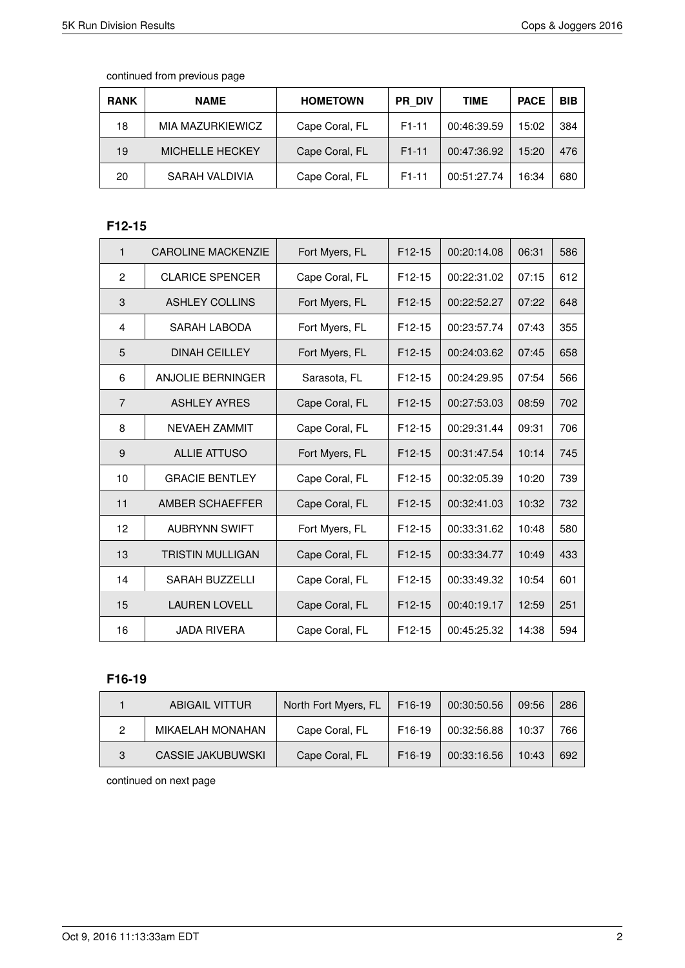| <b>RANK</b> | <b>NAME</b>            | <b>HOMETOWN</b> | <b>PR DIV</b> | <b>TIME</b> | <b>PACE</b> | <b>BIB</b> |
|-------------|------------------------|-----------------|---------------|-------------|-------------|------------|
| 18          | MIA MAZURKIEWICZ       | Cape Coral, FL  | $F1-11$       | 00:46:39.59 | 15:02       | 384        |
| 19          | <b>MICHELLE HECKEY</b> | Cape Coral, FL  | $F1-11$       | 00:47:36.92 | 15:20       | 476        |
| 20          | SARAH VALDIVIA         | Cape Coral, FL  | $F1-11$       | 00:51:27.74 | 16:34       | 680        |

### **F12-15**

| $\mathbf{1}$   | <b>CAROLINE MACKENZIE</b> | Fort Myers, FL | $F12-15$ | 00:20:14.08 | 06:31 | 586 |
|----------------|---------------------------|----------------|----------|-------------|-------|-----|
| $\overline{2}$ | <b>CLARICE SPENCER</b>    | Cape Coral, FL | $F12-15$ | 00:22:31.02 | 07:15 | 612 |
| 3              | <b>ASHLEY COLLINS</b>     | Fort Myers, FL | $F12-15$ | 00:22:52.27 | 07:22 | 648 |
| 4              | SARAH LABODA              | Fort Myers, FL | $F12-15$ | 00:23:57.74 | 07:43 | 355 |
| 5              | <b>DINAH CEILLEY</b>      | Fort Myers, FL | $F12-15$ | 00:24:03.62 | 07:45 | 658 |
| 6              | ANJOLIE BERNINGER         | Sarasota, FL   | $F12-15$ | 00:24:29.95 | 07:54 | 566 |
| $\overline{7}$ | <b>ASHLEY AYRES</b>       | Cape Coral, FL | $F12-15$ | 00:27:53.03 | 08:59 | 702 |
| 8              | <b>NEVAEH ZAMMIT</b>      | Cape Coral, FL | $F12-15$ | 00:29:31.44 | 09:31 | 706 |
| 9              | <b>ALLIE ATTUSO</b>       | Fort Myers, FL | $F12-15$ | 00:31:47.54 | 10:14 | 745 |
| 10             | <b>GRACIE BENTLEY</b>     | Cape Coral, FL | $F12-15$ | 00:32:05.39 | 10:20 | 739 |
| 11             | AMBER SCHAEFFER           | Cape Coral, FL | $F12-15$ | 00:32:41.03 | 10:32 | 732 |
| 12             | <b>AUBRYNN SWIFT</b>      | Fort Myers, FL | $F12-15$ | 00:33:31.62 | 10:48 | 580 |
| 13             | <b>TRISTIN MULLIGAN</b>   | Cape Coral, FL | $F12-15$ | 00:33:34.77 | 10:49 | 433 |
| 14             | <b>SARAH BUZZELLI</b>     | Cape Coral, FL | F12-15   | 00:33:49.32 | 10:54 | 601 |
| 15             | <b>LAUREN LOVELL</b>      | Cape Coral, FL | $F12-15$ | 00:40:19.17 | 12:59 | 251 |
| 16             | <b>JADA RIVERA</b>        | Cape Coral, FL | $F12-15$ | 00:45:25.32 | 14:38 | 594 |

### **F16-19**

|   | ABIGAIL VITTUR          | North Fort Myers, FL | $F16-19$            | 00:30:50.56 | 09:56 | 286 |
|---|-------------------------|----------------------|---------------------|-------------|-------|-----|
| 2 | <b>MIKAELAH MONAHAN</b> | Cape Coral, FL       | F <sub>16</sub> -19 | 00:32:56.88 | 10:37 | 766 |
| 3 | CASSIE JAKUBUWSKI       | Cape Coral, FL       | F <sub>16</sub> -19 | 00:33:16.56 | 10:43 | 692 |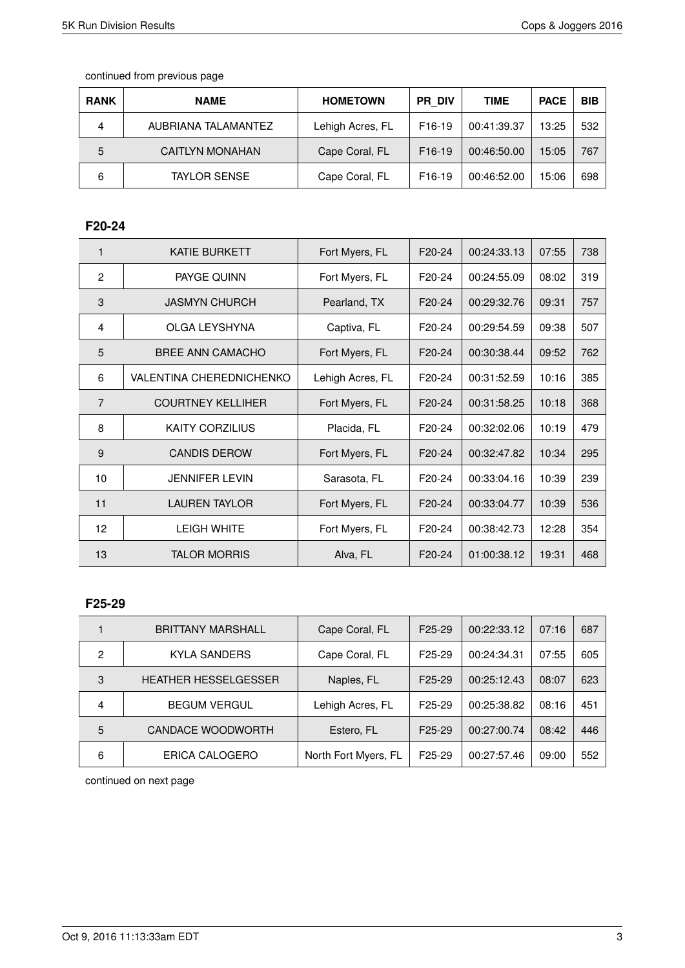| <b>RANK</b> | <b>NAME</b>         | <b>HOMETOWN</b>  | PR DIV              | <b>TIME</b> | <b>PACE</b> | <b>BIB</b> |
|-------------|---------------------|------------------|---------------------|-------------|-------------|------------|
| 4           | AUBRIANA TALAMANTEZ | Lehigh Acres, FL | F <sub>16</sub> -19 | 00:41:39.37 | 13:25       | 532        |
| 5           | CAITLYN MONAHAN     | Cape Coral, FL   | F <sub>16</sub> -19 | 00:46:50.00 | 15:05       | 767        |
| 6           | <b>TAYLOR SENSE</b> | Cape Coral, FL   | F <sub>16</sub> -19 | 00:46:52.00 | 15:06       | 698        |

### **F20-24**

| 1              | <b>KATIE BURKETT</b>            | Fort Myers, FL   | F <sub>20</sub> -24 | 00:24:33.13 | 07:55 | 738 |
|----------------|---------------------------------|------------------|---------------------|-------------|-------|-----|
| $\overline{2}$ | PAYGE QUINN                     | Fort Myers, FL   | F <sub>20</sub> -24 | 00:24:55.09 | 08:02 | 319 |
| 3              | <b>JASMYN CHURCH</b>            | Pearland, TX     | F <sub>20</sub> -24 | 00:29:32.76 | 09:31 | 757 |
| 4              | OLGA LEYSHYNA                   | Captiva, FL      | F <sub>20</sub> -24 | 00:29:54.59 | 09:38 | 507 |
| 5              | BREE ANN CAMACHO                | Fort Myers, FL   | F20-24              | 00:30:38.44 | 09:52 | 762 |
| 6              | <b>VALENTINA CHEREDNICHENKO</b> | Lehigh Acres, FL | F <sub>20</sub> -24 | 00:31:52.59 | 10:16 | 385 |
| $\overline{7}$ | <b>COURTNEY KELLIHER</b>        | Fort Myers, FL   | F <sub>20</sub> -24 | 00:31:58.25 | 10:18 | 368 |
| 8              | <b>KAITY CORZILIUS</b>          | Placida, FL      | F <sub>20</sub> -24 | 00:32:02.06 | 10:19 | 479 |
| 9              | <b>CANDIS DEROW</b>             | Fort Myers, FL   | F <sub>20</sub> -24 | 00:32:47.82 | 10:34 | 295 |
| 10             | <b>JENNIFER LEVIN</b>           | Sarasota, FL     | F <sub>20</sub> -24 | 00:33:04.16 | 10:39 | 239 |
| 11             | <b>LAUREN TAYLOR</b>            | Fort Myers, FL   | F20-24              | 00:33:04.77 | 10:39 | 536 |
| 12             | <b>LEIGH WHITE</b>              | Fort Myers, FL   | F <sub>20</sub> -24 | 00:38:42.73 | 12:28 | 354 |
| 13             | <b>TALOR MORRIS</b>             | Alva, FL         | F20-24              | 01:00:38.12 | 19:31 | 468 |

#### **F25-29**

|                | <b>BRITTANY MARSHALL</b>    | Cape Coral, FL       | F <sub>25</sub> -29 | 00:22:33.12 | 07:16 | 687 |
|----------------|-----------------------------|----------------------|---------------------|-------------|-------|-----|
| $\overline{c}$ | <b>KYLA SANDERS</b>         | Cape Coral, FL       | F <sub>25</sub> -29 | 00:24:34.31 | 07:55 | 605 |
| 3              | <b>HEATHER HESSELGESSER</b> | Naples, FL           | F <sub>25</sub> -29 | 00:25:12.43 | 08:07 | 623 |
| 4              | <b>BEGUM VERGUL</b>         | Lehigh Acres, FL     | F <sub>25</sub> -29 | 00:25:38.82 | 08:16 | 451 |
| 5              | CANDACE WOODWORTH           | Estero, FL           | F <sub>25</sub> -29 | 00:27:00.74 | 08:42 | 446 |
| 6              | ERICA CALOGERO              | North Fort Myers, FL | F <sub>25</sub> -29 | 00:27:57.46 | 09:00 | 552 |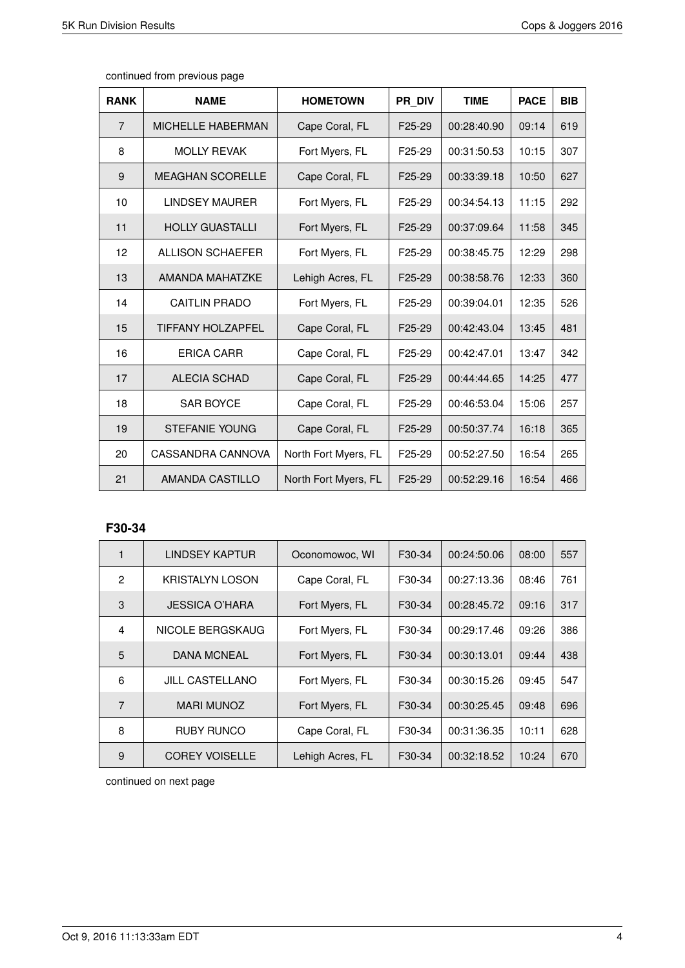| <b>RANK</b>    | <b>NAME</b>              | <b>HOMETOWN</b>      | PR DIV              | <b>TIME</b> | <b>PACE</b> | <b>BIB</b> |
|----------------|--------------------------|----------------------|---------------------|-------------|-------------|------------|
| $\overline{7}$ | <b>MICHELLE HABERMAN</b> | Cape Coral, FL       | F <sub>25</sub> -29 | 00:28:40.90 | 09:14       | 619        |
| 8              | <b>MOLLY REVAK</b>       | Fort Myers, FL       | F <sub>25</sub> -29 | 00:31:50.53 | 10:15       | 307        |
| 9              | <b>MEAGHAN SCORELLE</b>  | Cape Coral, FL       | F <sub>25</sub> -29 | 00:33:39.18 | 10:50       | 627        |
| 10             | <b>LINDSEY MAURER</b>    | Fort Myers, FL       | F <sub>25</sub> -29 | 00:34:54.13 | 11:15       | 292        |
| 11             | <b>HOLLY GUASTALLI</b>   | Fort Myers, FL       | F <sub>25</sub> -29 | 00:37:09.64 | 11:58       | 345        |
| 12             | <b>ALLISON SCHAEFER</b>  | Fort Myers, FL       | F <sub>25</sub> -29 | 00:38:45.75 | 12:29       | 298        |
| 13             | AMANDA MAHATZKE          | Lehigh Acres, FL     | F <sub>25</sub> -29 | 00:38:58.76 | 12:33       | 360        |
| 14             | <b>CAITLIN PRADO</b>     | Fort Myers, FL       | F <sub>25</sub> -29 | 00:39:04.01 | 12:35       | 526        |
| 15             | <b>TIFFANY HOLZAPFEL</b> | Cape Coral, FL       | F <sub>25</sub> -29 | 00:42:43.04 | 13:45       | 481        |
| 16             | <b>ERICA CARR</b>        | Cape Coral, FL       | F <sub>25</sub> -29 | 00:42:47.01 | 13:47       | 342        |
| 17             | <b>ALECIA SCHAD</b>      | Cape Coral, FL       | F <sub>25</sub> -29 | 00:44:44.65 | 14:25       | 477        |
| 18             | <b>SAR BOYCE</b>         | Cape Coral, FL       | F25-29              | 00:46:53.04 | 15:06       | 257        |
| 19             | <b>STEFANIE YOUNG</b>    | Cape Coral, FL       | F <sub>25</sub> -29 | 00:50:37.74 | 16:18       | 365        |
| 20             | CASSANDRA CANNOVA        | North Fort Myers, FL | F <sub>25</sub> -29 | 00:52:27.50 | 16:54       | 265        |
| 21             | AMANDA CASTILLO          | North Fort Myers, FL | F25-29              | 00:52:29.16 | 16:54       | 466        |

#### **F30-34**

| 1            | <b>LINDSEY KAPTUR</b>  | Oconomowoc, WI   | F30-34              | 00:24:50.06 | 08:00 | 557 |
|--------------|------------------------|------------------|---------------------|-------------|-------|-----|
| $\mathbf{2}$ | KRISTALYN LOSON        | Cape Coral, FL   | F30-34              | 00:27:13.36 | 08:46 | 761 |
| 3            | JESSICA O'HARA         | Fort Myers, FL   | F <sub>30</sub> -34 | 00:28:45.72 | 09:16 | 317 |
| 4            | NICOLE BERGSKAUG       | Fort Myers, FL   | F30-34              | 00:29:17.46 | 09:26 | 386 |
| 5            | <b>DANA MCNEAL</b>     | Fort Myers, FL   | F <sub>30</sub> -34 | 00:30:13.01 | 09:44 | 438 |
| 6            | <b>JILL CASTELLANO</b> | Fort Myers, FL   | F <sub>30</sub> -34 | 00:30:15.26 | 09:45 | 547 |
| 7            | <b>MARI MUNOZ</b>      | Fort Myers, FL   | F <sub>30</sub> -34 | 00:30:25.45 | 09:48 | 696 |
| 8            | <b>RUBY RUNCO</b>      | Cape Coral, FL   | F30-34              | 00:31:36.35 | 10:11 | 628 |
| 9            | <b>COREY VOISELLE</b>  | Lehigh Acres, FL | F30-34              | 00:32:18.52 | 10:24 | 670 |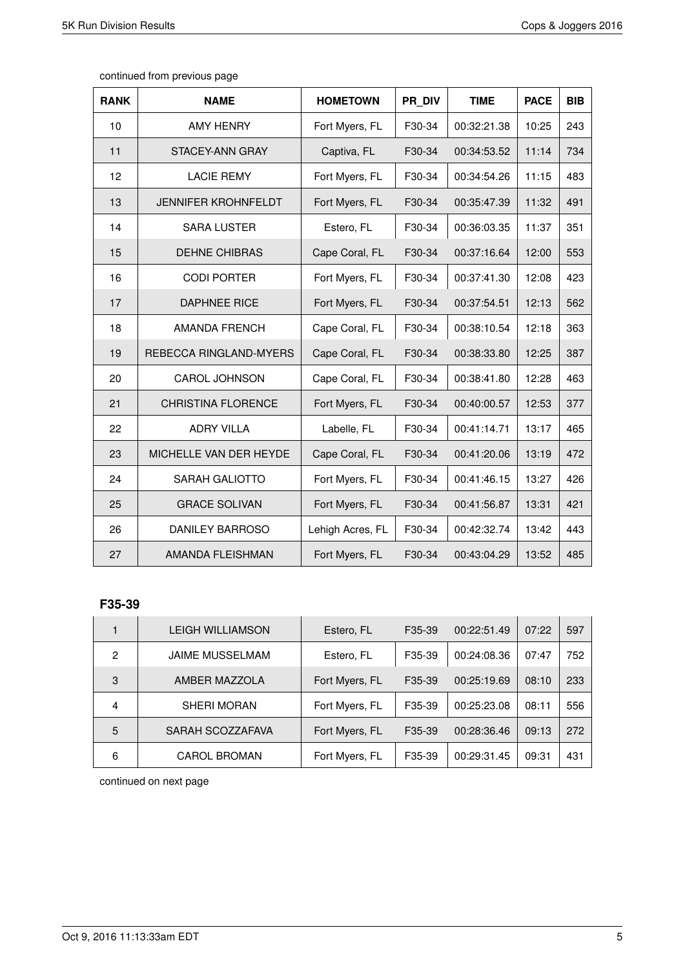| continued from previous page |  |  |
|------------------------------|--|--|
|------------------------------|--|--|

| <b>RANK</b> | <b>NAME</b>                | <b>HOMETOWN</b>  | PR DIV | <b>TIME</b> | <b>PACE</b> | <b>BIB</b> |
|-------------|----------------------------|------------------|--------|-------------|-------------|------------|
| 10          | <b>AMY HENRY</b>           | Fort Myers, FL   | F30-34 | 00:32:21.38 | 10:25       | 243        |
| 11          | STACEY-ANN GRAY            | Captiva, FL      | F30-34 | 00:34:53.52 | 11:14       | 734        |
| 12          | <b>LACIE REMY</b>          | Fort Myers, FL   | F30-34 | 00:34:54.26 | 11:15       | 483        |
| 13          | <b>JENNIFER KROHNFELDT</b> | Fort Myers, FL   | F30-34 | 00:35:47.39 | 11:32       | 491        |
| 14          | <b>SARA LUSTER</b>         | Estero, FL       | F30-34 | 00:36:03.35 | 11:37       | 351        |
| 15          | <b>DEHNE CHIBRAS</b>       | Cape Coral, FL   | F30-34 | 00:37:16.64 | 12:00       | 553        |
| 16          | <b>CODI PORTER</b>         | Fort Myers, FL   | F30-34 | 00:37:41.30 | 12:08       | 423        |
| 17          | <b>DAPHNEE RICE</b>        | Fort Myers, FL   | F30-34 | 00:37:54.51 | 12:13       | 562        |
| 18          | <b>AMANDA FRENCH</b>       | Cape Coral, FL   | F30-34 | 00:38:10.54 | 12:18       | 363        |
| 19          | REBECCA RINGLAND-MYERS     | Cape Coral, FL   | F30-34 | 00:38:33.80 | 12:25       | 387        |
| 20          | <b>CAROL JOHNSON</b>       | Cape Coral, FL   | F30-34 | 00:38:41.80 | 12:28       | 463        |
| 21          | <b>CHRISTINA FLORENCE</b>  | Fort Myers, FL   | F30-34 | 00:40:00.57 | 12:53       | 377        |
| 22          | <b>ADRY VILLA</b>          | Labelle, FL      | F30-34 | 00:41:14.71 | 13:17       | 465        |
| 23          | MICHELLE VAN DER HEYDE     | Cape Coral, FL   | F30-34 | 00:41:20.06 | 13:19       | 472        |
| 24          | SARAH GALIOTTO             | Fort Myers, FL   | F30-34 | 00:41:46.15 | 13:27       | 426        |
| 25          | <b>GRACE SOLIVAN</b>       | Fort Myers, FL   | F30-34 | 00:41:56.87 | 13:31       | 421        |
| 26          | DANILEY BARROSO            | Lehigh Acres, FL | F30-34 | 00:42:32.74 | 13:42       | 443        |
| 27          | AMANDA FLEISHMAN           | Fort Myers, FL   | F30-34 | 00:43:04.29 | 13:52       | 485        |

#### **F35-39**

|   | <b>LEIGH WILLIAMSON</b> | Estero, FL     | F35-39              | 00:22:51.49 | 07:22 | 597 |
|---|-------------------------|----------------|---------------------|-------------|-------|-----|
| 2 | <b>JAIME MUSSELMAM</b>  | Estero, FL     | F35-39              | 00:24:08.36 | 07:47 | 752 |
| 3 | AMBER MAZZOLA           | Fort Myers, FL | F35-39              | 00:25:19.69 | 08:10 | 233 |
| 4 | <b>SHERI MORAN</b>      | Fort Myers, FL | F35-39              | 00:25:23.08 | 08:11 | 556 |
| 5 | SARAH SCOZZAFAVA        | Fort Myers, FL | F <sub>35</sub> -39 | 00:28:36.46 | 09:13 | 272 |
| 6 | <b>CAROL BROMAN</b>     | Fort Myers, FL | F35-39              | 00:29:31.45 | 09:31 | 431 |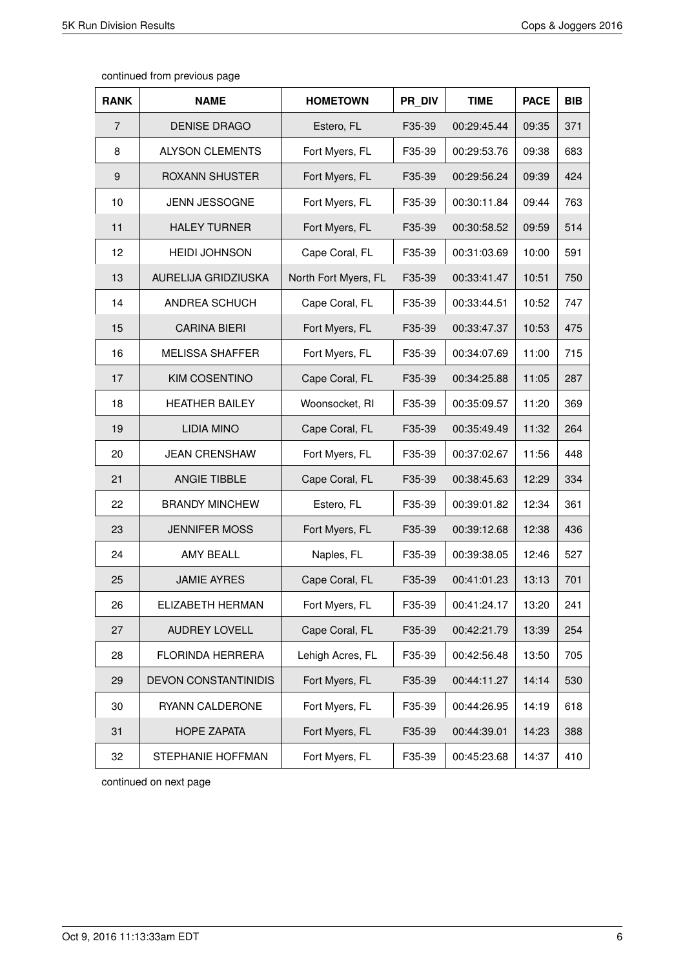| <b>RANK</b>    | <b>NAME</b>                 | <b>HOMETOWN</b>      | PR DIV | <b>TIME</b> | <b>PACE</b> | <b>BIB</b> |
|----------------|-----------------------------|----------------------|--------|-------------|-------------|------------|
| $\overline{7}$ | <b>DENISE DRAGO</b>         | Estero, FL           | F35-39 | 00:29:45.44 | 09:35       | 371        |
| 8              | <b>ALYSON CLEMENTS</b>      | Fort Myers, FL       | F35-39 | 00:29:53.76 | 09:38       | 683        |
| 9              | ROXANN SHUSTER              | Fort Myers, FL       | F35-39 | 00:29:56.24 | 09:39       | 424        |
| 10             | <b>JENN JESSOGNE</b>        | Fort Myers, FL       | F35-39 | 00:30:11.84 | 09:44       | 763        |
| 11             | <b>HALEY TURNER</b>         | Fort Myers, FL       | F35-39 | 00:30:58.52 | 09:59       | 514        |
| 12             | <b>HEIDI JOHNSON</b>        | Cape Coral, FL       | F35-39 | 00:31:03.69 | 10:00       | 591        |
| 13             | AURELIJA GRIDZIUSKA         | North Fort Myers, FL | F35-39 | 00:33:41.47 | 10:51       | 750        |
| 14             | ANDREA SCHUCH               | Cape Coral, FL       | F35-39 | 00:33:44.51 | 10:52       | 747        |
| 15             | <b>CARINA BIERI</b>         | Fort Myers, FL       | F35-39 | 00:33:47.37 | 10:53       | 475        |
| 16             | <b>MELISSA SHAFFER</b>      | Fort Myers, FL       | F35-39 | 00:34:07.69 | 11:00       | 715        |
| 17             | <b>KIM COSENTINO</b>        | Cape Coral, FL       | F35-39 | 00:34:25.88 | 11:05       | 287        |
| 18             | <b>HEATHER BAILEY</b>       | Woonsocket, RI       | F35-39 | 00:35:09.57 | 11:20       | 369        |
| 19             | <b>LIDIA MINO</b>           | Cape Coral, FL       | F35-39 | 00:35:49.49 | 11:32       | 264        |
| 20             | <b>JEAN CRENSHAW</b>        | Fort Myers, FL       | F35-39 | 00:37:02.67 | 11:56       | 448        |
| 21             | ANGIE TIBBLE                | Cape Coral, FL       | F35-39 | 00:38:45.63 | 12:29       | 334        |
| 22             | <b>BRANDY MINCHEW</b>       | Estero, FL           | F35-39 | 00:39:01.82 | 12:34       | 361        |
| 23             | <b>JENNIFER MOSS</b>        | Fort Myers, FL       | F35-39 | 00:39:12.68 | 12:38       | 436        |
| 24             | AMY BEALL                   | Naples, FL           | F35-39 | 00:39:38.05 | 12:46       | 527        |
| 25             | <b>JAMIE AYRES</b>          | Cape Coral, FL       | F35-39 | 00:41:01.23 | 13:13       | 701        |
| 26             | ELIZABETH HERMAN            | Fort Myers, FL       | F35-39 | 00:41:24.17 | 13:20       | 241        |
| 27             | AUDREY LOVELL               | Cape Coral, FL       | F35-39 | 00:42:21.79 | 13:39       | 254        |
| 28             | FLORINDA HERRERA            | Lehigh Acres, FL     | F35-39 | 00:42:56.48 | 13:50       | 705        |
| 29             | <b>DEVON CONSTANTINIDIS</b> | Fort Myers, FL       | F35-39 | 00:44:11.27 | 14:14       | 530        |
| 30             | RYANN CALDERONE             | Fort Myers, FL       | F35-39 | 00:44:26.95 | 14:19       | 618        |
| 31             | <b>HOPE ZAPATA</b>          | Fort Myers, FL       | F35-39 | 00:44:39.01 | 14:23       | 388        |
| 32             | STEPHANIE HOFFMAN           | Fort Myers, FL       | F35-39 | 00:45:23.68 | 14:37       | 410        |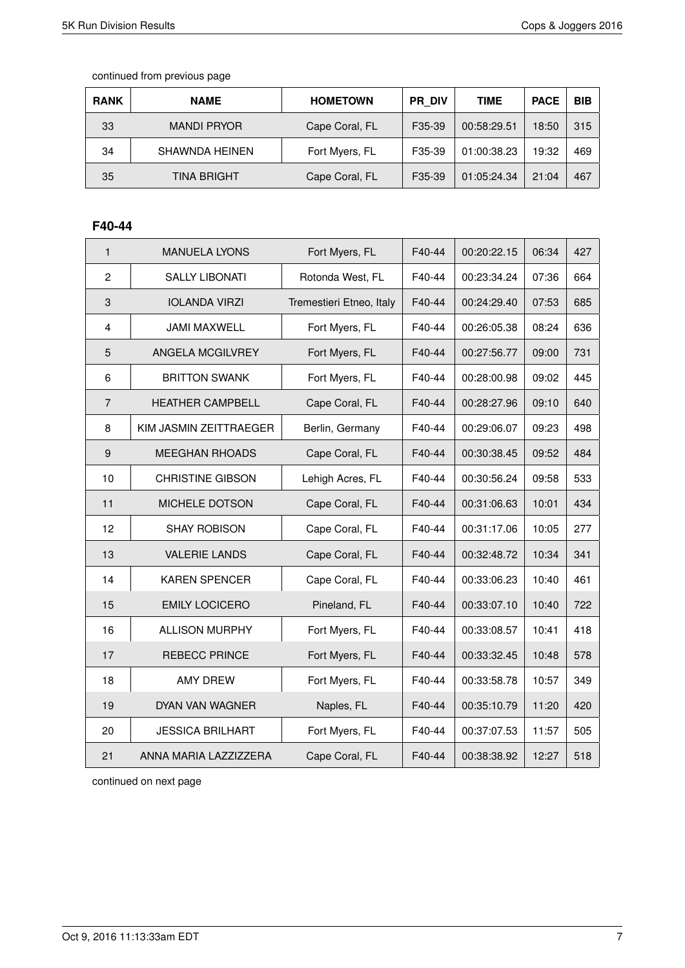| <b>RANK</b> | <b>NAME</b>        | <b>HOMETOWN</b> | <b>PR DIV</b> | TIME        | <b>PACE</b> | <b>BIB</b> |
|-------------|--------------------|-----------------|---------------|-------------|-------------|------------|
| 33          | <b>MANDI PRYOR</b> | Cape Coral, FL  | F35-39        | 00:58:29.51 | 18:50       | 315        |
| 34          | SHAWNDA HEINEN     | Fort Myers, FL  | F35-39        | 01:00:38.23 | 19:32       | 469        |
| 35          | TINA BRIGHT        | Cape Coral, FL  | F35-39        | 01:05:24.34 | 21:04       | 467        |

### **F40-44**

| $\mathbf{1}$            | <b>MANUELA LYONS</b>    | Fort Myers, FL           | F40-44 | 00:20:22.15 | 06:34 | 427 |
|-------------------------|-------------------------|--------------------------|--------|-------------|-------|-----|
| $\overline{c}$          | <b>SALLY LIBONATI</b>   | Rotonda West, FL         | F40-44 | 00:23:34.24 | 07:36 | 664 |
| $\mathbf{3}$            | <b>IOLANDA VIRZI</b>    | Tremestieri Etneo, Italy | F40-44 | 00:24:29.40 | 07:53 | 685 |
| $\overline{\mathbf{4}}$ | <b>JAMI MAXWELL</b>     | Fort Myers, FL           | F40-44 | 00:26:05.38 | 08:24 | 636 |
| 5                       | ANGELA MCGILVREY        | Fort Myers, FL           | F40-44 | 00:27:56.77 | 09:00 | 731 |
| 6                       | <b>BRITTON SWANK</b>    | Fort Myers, FL           | F40-44 | 00:28:00.98 | 09:02 | 445 |
| $\overline{7}$          | <b>HEATHER CAMPBELL</b> | Cape Coral, FL           | F40-44 | 00:28:27.96 | 09:10 | 640 |
| 8                       | KIM JASMIN ZEITTRAEGER  | Berlin, Germany          | F40-44 | 00:29:06.07 | 09:23 | 498 |
| 9                       | <b>MEEGHAN RHOADS</b>   | Cape Coral, FL           | F40-44 | 00:30:38.45 | 09:52 | 484 |
| 10                      | <b>CHRISTINE GIBSON</b> | Lehigh Acres, FL         | F40-44 | 00:30:56.24 | 09:58 | 533 |
| 11                      | MICHELE DOTSON          | Cape Coral, FL           | F40-44 | 00:31:06.63 | 10:01 | 434 |
| 12                      | <b>SHAY ROBISON</b>     | Cape Coral, FL           | F40-44 | 00:31:17.06 | 10:05 | 277 |
| 13                      | <b>VALERIE LANDS</b>    | Cape Coral, FL           | F40-44 | 00:32:48.72 | 10:34 | 341 |
| 14                      | <b>KAREN SPENCER</b>    | Cape Coral, FL           | F40-44 | 00:33:06.23 | 10:40 | 461 |
| 15                      | <b>EMILY LOCICERO</b>   | Pineland, FL             | F40-44 | 00:33:07.10 | 10:40 | 722 |
| 16                      | <b>ALLISON MURPHY</b>   | Fort Myers, FL           | F40-44 | 00:33:08.57 | 10:41 | 418 |
| 17                      | <b>REBECC PRINCE</b>    | Fort Myers, FL           | F40-44 | 00:33:32.45 | 10:48 | 578 |
| 18                      | <b>AMY DREW</b>         | Fort Myers, FL           | F40-44 | 00:33:58.78 | 10:57 | 349 |
| 19                      | DYAN VAN WAGNER         | Naples, FL               | F40-44 | 00:35:10.79 | 11:20 | 420 |
| 20                      | <b>JESSICA BRILHART</b> | Fort Myers, FL           | F40-44 | 00:37:07.53 | 11:57 | 505 |
| 21                      | ANNA MARIA LAZZIZZERA   | Cape Coral, FL           | F40-44 | 00:38:38.92 | 12:27 | 518 |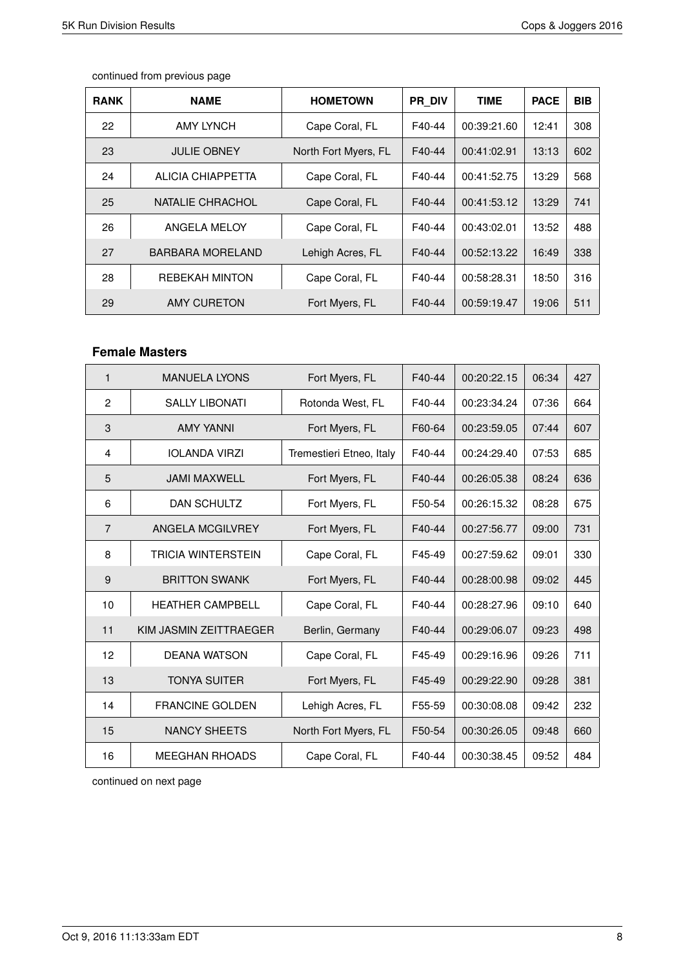| <b>RANK</b> | <b>NAME</b>             | <b>HOMETOWN</b>      | <b>PR DIV</b> | <b>TIME</b> | <b>PACE</b> | <b>BIB</b> |
|-------------|-------------------------|----------------------|---------------|-------------|-------------|------------|
| 22          | AMY LYNCH               | Cape Coral, FL       | F40-44        | 00:39:21.60 | 12:41       | 308        |
| 23          | <b>JULIE OBNEY</b>      | North Fort Myers, FL | F40-44        | 00:41:02.91 | 13:13       | 602        |
| 24          | ALICIA CHIAPPETTA       | Cape Coral, FL       | F40-44        | 00:41:52.75 | 13:29       | 568        |
| 25          | NATALIE CHRACHOL        | Cape Coral, FL       | F40-44        | 00:41:53.12 | 13:29       | 741        |
| 26          | ANGELA MELOY            | Cape Coral, FL       | F40-44        | 00:43:02.01 | 13:52       | 488        |
| 27          | <b>BARBARA MORELAND</b> | Lehigh Acres, FL     | F40-44        | 00:52:13.22 | 16:49       | 338        |
| 28          | <b>REBEKAH MINTON</b>   | Cape Coral, FL       | F40-44        | 00:58:28.31 | 18:50       | 316        |
| 29          | AMY CURETON             | Fort Myers, FL       | F40-44        | 00:59:19.47 | 19:06       | 511        |

#### **Female Masters**

| $\mathbf 1$    | <b>MANUELA LYONS</b>      | Fort Myers, FL           | F40-44 | 00:20:22.15 | 06:34 | 427 |
|----------------|---------------------------|--------------------------|--------|-------------|-------|-----|
| 2              | <b>SALLY LIBONATI</b>     | Rotonda West, FL         | F40-44 | 00:23:34.24 | 07:36 | 664 |
| 3              | <b>AMY YANNI</b>          | Fort Myers, FL           | F60-64 | 00:23:59.05 | 07:44 | 607 |
| $\overline{4}$ | <b>IOLANDA VIRZI</b>      | Tremestieri Etneo, Italy | F40-44 | 00:24:29.40 | 07:53 | 685 |
| 5              | <b>JAMI MAXWELL</b>       | Fort Myers, FL           | F40-44 | 00:26:05.38 | 08:24 | 636 |
| 6              | DAN SCHULTZ               | Fort Myers, FL           | F50-54 | 00:26:15.32 | 08:28 | 675 |
| $\overline{7}$ | ANGELA MCGILVREY          | Fort Myers, FL           | F40-44 | 00:27:56.77 | 09:00 | 731 |
| 8              | <b>TRICIA WINTERSTEIN</b> | Cape Coral, FL           | F45-49 | 00:27:59.62 | 09:01 | 330 |
| 9              | <b>BRITTON SWANK</b>      | Fort Myers, FL           | F40-44 | 00:28:00.98 | 09:02 | 445 |
| 10             | <b>HEATHER CAMPBELL</b>   | Cape Coral, FL           | F40-44 | 00:28:27.96 | 09:10 | 640 |
| 11             | KIM JASMIN ZEITTRAEGER    | Berlin, Germany          | F40-44 | 00:29:06.07 | 09:23 | 498 |
| 12             | <b>DEANA WATSON</b>       | Cape Coral, FL           | F45-49 | 00:29:16.96 | 09:26 | 711 |
| 13             | <b>TONYA SUITER</b>       | Fort Myers, FL           | F45-49 | 00:29:22.90 | 09:28 | 381 |
| 14             | <b>FRANCINE GOLDEN</b>    | Lehigh Acres, FL         | F55-59 | 00:30:08.08 | 09:42 | 232 |
| 15             | <b>NANCY SHEETS</b>       | North Fort Myers, FL     | F50-54 | 00:30:26.05 | 09:48 | 660 |
| 16             | <b>MEEGHAN RHOADS</b>     | Cape Coral, FL           | F40-44 | 00:30:38.45 | 09:52 | 484 |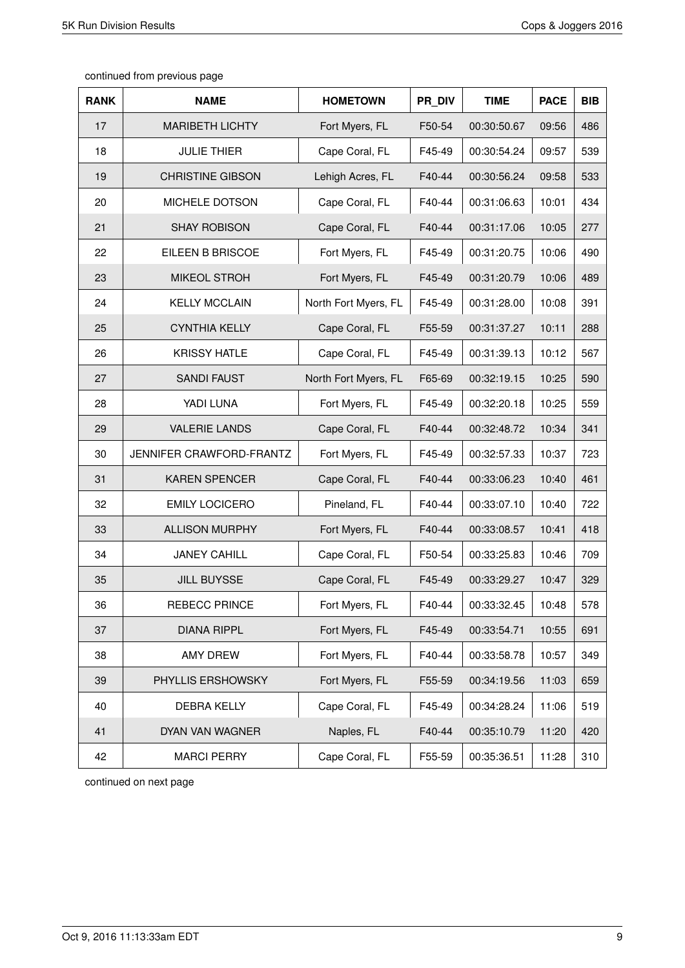| <b>RANK</b> | <b>NAME</b>              | <b>HOMETOWN</b>      | PR_DIV | <b>TIME</b> | <b>PACE</b> | <b>BIB</b> |
|-------------|--------------------------|----------------------|--------|-------------|-------------|------------|
| 17          | <b>MARIBETH LICHTY</b>   | Fort Myers, FL       | F50-54 | 00:30:50.67 | 09:56       | 486        |
| 18          | <b>JULIE THIER</b>       | Cape Coral, FL       | F45-49 | 00:30:54.24 | 09:57       | 539        |
| 19          | <b>CHRISTINE GIBSON</b>  | Lehigh Acres, FL     | F40-44 | 00:30:56.24 | 09:58       | 533        |
| 20          | MICHELE DOTSON           | Cape Coral, FL       | F40-44 | 00:31:06.63 | 10:01       | 434        |
| 21          | <b>SHAY ROBISON</b>      | Cape Coral, FL       | F40-44 | 00:31:17.06 | 10:05       | 277        |
| 22          | EILEEN B BRISCOE         | Fort Myers, FL       | F45-49 | 00:31:20.75 | 10:06       | 490        |
| 23          | <b>MIKEOL STROH</b>      | Fort Myers, FL       | F45-49 | 00:31:20.79 | 10:06       | 489        |
| 24          | <b>KELLY MCCLAIN</b>     | North Fort Myers, FL | F45-49 | 00:31:28.00 | 10:08       | 391        |
| 25          | <b>CYNTHIA KELLY</b>     | Cape Coral, FL       | F55-59 | 00:31:37.27 | 10:11       | 288        |
| 26          | <b>KRISSY HATLE</b>      | Cape Coral, FL       | F45-49 | 00:31:39.13 | 10:12       | 567        |
| 27          | <b>SANDI FAUST</b>       | North Fort Myers, FL | F65-69 | 00:32:19.15 | 10:25       | 590        |
| 28          | YADI LUNA                | Fort Myers, FL       | F45-49 | 00:32:20.18 | 10:25       | 559        |
| 29          | <b>VALERIE LANDS</b>     | Cape Coral, FL       | F40-44 | 00:32:48.72 | 10:34       | 341        |
| 30          | JENNIFER CRAWFORD-FRANTZ | Fort Myers, FL       | F45-49 | 00:32:57.33 | 10:37       | 723        |
| 31          | <b>KAREN SPENCER</b>     | Cape Coral, FL       | F40-44 | 00:33:06.23 | 10:40       | 461        |
| 32          | <b>EMILY LOCICERO</b>    | Pineland, FL         | F40-44 | 00:33:07.10 | 10:40       | 722        |
| 33          | <b>ALLISON MURPHY</b>    | Fort Myers, FL       | F40-44 | 00:33:08.57 | 10:41       | 418        |
| 34          | <b>JANEY CAHILL</b>      | Cape Coral, FL       | F50-54 | 00:33:25.83 | 10:46       | 709        |
| 35          | <b>JILL BUYSSE</b>       | Cape Coral, FL       | F45-49 | 00:33:29.27 | 10:47       | 329        |
| 36          | <b>REBECC PRINCE</b>     | Fort Myers, FL       | F40-44 | 00:33:32.45 | 10:48       | 578        |
| 37          | <b>DIANA RIPPL</b>       | Fort Myers, FL       | F45-49 | 00:33:54.71 | 10:55       | 691        |
| 38          | <b>AMY DREW</b>          | Fort Myers, FL       | F40-44 | 00:33:58.78 | 10:57       | 349        |
| 39          | PHYLLIS ERSHOWSKY        | Fort Myers, FL       | F55-59 | 00:34:19.56 | 11:03       | 659        |
| 40          | DEBRA KELLY              | Cape Coral, FL       | F45-49 | 00:34:28.24 | 11:06       | 519        |
| 41          | DYAN VAN WAGNER          | Naples, FL           | F40-44 | 00:35:10.79 | 11:20       | 420        |
| 42          | <b>MARCI PERRY</b>       | Cape Coral, FL       | F55-59 | 00:35:36.51 | 11:28       | 310        |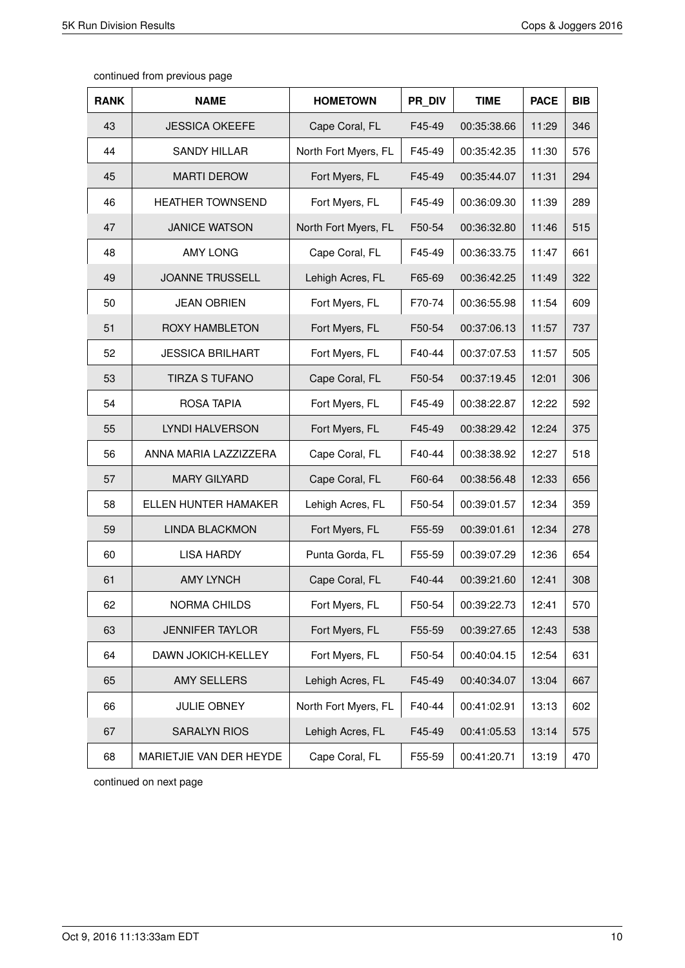| <b>RANK</b> | <b>NAME</b>             | <b>HOMETOWN</b>      | PR DIV | <b>TIME</b> | <b>PACE</b> | <b>BIB</b> |
|-------------|-------------------------|----------------------|--------|-------------|-------------|------------|
| 43          | <b>JESSICA OKEEFE</b>   | Cape Coral, FL       | F45-49 | 00:35:38.66 | 11:29       | 346        |
| 44          | <b>SANDY HILLAR</b>     | North Fort Myers, FL | F45-49 | 00:35:42.35 | 11:30       | 576        |
| 45          | <b>MARTI DEROW</b>      | Fort Myers, FL       | F45-49 | 00:35:44.07 | 11:31       | 294        |
| 46          | HEATHER TOWNSEND        | Fort Myers, FL       | F45-49 | 00:36:09.30 | 11:39       | 289        |
| 47          | <b>JANICE WATSON</b>    | North Fort Myers, FL | F50-54 | 00:36:32.80 | 11:46       | 515        |
| 48          | <b>AMY LONG</b>         | Cape Coral, FL       | F45-49 | 00:36:33.75 | 11:47       | 661        |
| 49          | <b>JOANNE TRUSSELL</b>  | Lehigh Acres, FL     | F65-69 | 00:36:42.25 | 11:49       | 322        |
| 50          | <b>JEAN OBRIEN</b>      | Fort Myers, FL       | F70-74 | 00:36:55.98 | 11:54       | 609        |
| 51          | <b>ROXY HAMBLETON</b>   | Fort Myers, FL       | F50-54 | 00:37:06.13 | 11:57       | 737        |
| 52          | <b>JESSICA BRILHART</b> | Fort Myers, FL       | F40-44 | 00:37:07.53 | 11:57       | 505        |
| 53          | <b>TIRZA S TUFANO</b>   | Cape Coral, FL       | F50-54 | 00:37:19.45 | 12:01       | 306        |
| 54          | ROSA TAPIA              | Fort Myers, FL       | F45-49 | 00:38:22.87 | 12:22       | 592        |
| 55          | LYNDI HALVERSON         | Fort Myers, FL       | F45-49 | 00:38:29.42 | 12:24       | 375        |
| 56          | ANNA MARIA LAZZIZZERA   | Cape Coral, FL       | F40-44 | 00:38:38.92 | 12:27       | 518        |
| 57          | <b>MARY GILYARD</b>     | Cape Coral, FL       | F60-64 | 00:38:56.48 | 12:33       | 656        |
| 58          | ELLEN HUNTER HAMAKER    | Lehigh Acres, FL     | F50-54 | 00:39:01.57 | 12:34       | 359        |
| 59          | <b>LINDA BLACKMON</b>   | Fort Myers, FL       | F55-59 | 00:39:01.61 | 12:34       | 278        |
| 60          | <b>LISA HARDY</b>       | Punta Gorda, FL      | F55-59 | 00:39:07.29 | 12:36       | 654        |
| 61          | <b>AMY LYNCH</b>        | Cape Coral, FL       | F40-44 | 00:39:21.60 | 12:41       | 308        |
| 62          | NORMA CHILDS            | Fort Myers, FL       | F50-54 | 00:39:22.73 | 12:41       | 570        |
| 63          | <b>JENNIFER TAYLOR</b>  | Fort Myers, FL       | F55-59 | 00:39:27.65 | 12:43       | 538        |
| 64          | DAWN JOKICH-KELLEY      | Fort Myers, FL       | F50-54 | 00:40:04.15 | 12:54       | 631        |
| 65          | <b>AMY SELLERS</b>      | Lehigh Acres, FL     | F45-49 | 00:40:34.07 | 13:04       | 667        |
| 66          | <b>JULIE OBNEY</b>      | North Fort Myers, FL | F40-44 | 00:41:02.91 | 13:13       | 602        |
| 67          | <b>SARALYN RIOS</b>     | Lehigh Acres, FL     | F45-49 | 00:41:05.53 | 13:14       | 575        |
| 68          | MARIETJIE VAN DER HEYDE | Cape Coral, FL       | F55-59 | 00:41:20.71 | 13:19       | 470        |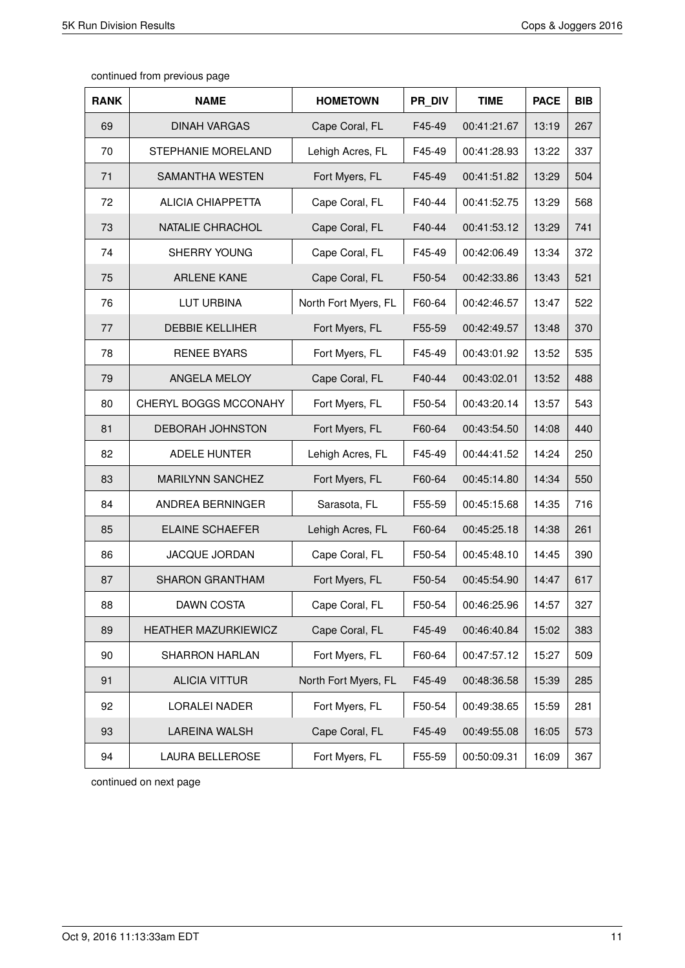| <b>RANK</b> | <b>NAME</b>              | <b>HOMETOWN</b>      | PR DIV | <b>TIME</b> | <b>PACE</b> | <b>BIB</b> |
|-------------|--------------------------|----------------------|--------|-------------|-------------|------------|
| 69          | <b>DINAH VARGAS</b>      | Cape Coral, FL       | F45-49 | 00:41:21.67 | 13:19       | 267        |
| 70          | STEPHANIE MORELAND       | Lehigh Acres, FL     | F45-49 | 00:41:28.93 | 13:22       | 337        |
| 71          | SAMANTHA WESTEN          | Fort Myers, FL       | F45-49 | 00:41:51.82 | 13:29       | 504        |
| 72          | <b>ALICIA CHIAPPETTA</b> | Cape Coral, FL       | F40-44 | 00:41:52.75 | 13:29       | 568        |
| 73          | NATALIE CHRACHOL         | Cape Coral, FL       | F40-44 | 00:41:53.12 | 13:29       | 741        |
| 74          | SHERRY YOUNG             | Cape Coral, FL       | F45-49 | 00:42:06.49 | 13:34       | 372        |
| 75          | <b>ARLENE KANE</b>       | Cape Coral, FL       | F50-54 | 00:42:33.86 | 13:43       | 521        |
| 76          | LUT URBINA               | North Fort Myers, FL | F60-64 | 00:42:46.57 | 13:47       | 522        |
| 77          | <b>DEBBIE KELLIHER</b>   | Fort Myers, FL       | F55-59 | 00:42:49.57 | 13:48       | 370        |
| 78          | <b>RENEE BYARS</b>       | Fort Myers, FL       | F45-49 | 00:43:01.92 | 13:52       | 535        |
| 79          | ANGELA MELOY             | Cape Coral, FL       | F40-44 | 00:43:02.01 | 13:52       | 488        |
| 80          | CHERYL BOGGS MCCONAHY    | Fort Myers, FL       | F50-54 | 00:43:20.14 | 13:57       | 543        |
| 81          | <b>DEBORAH JOHNSTON</b>  | Fort Myers, FL       | F60-64 | 00:43:54.50 | 14:08       | 440        |
| 82          | ADELE HUNTER             | Lehigh Acres, FL     | F45-49 | 00:44:41.52 | 14:24       | 250        |
| 83          | <b>MARILYNN SANCHEZ</b>  | Fort Myers, FL       | F60-64 | 00:45:14.80 | 14:34       | 550        |
| 84          | ANDREA BERNINGER         | Sarasota, FL         | F55-59 | 00:45:15.68 | 14:35       | 716        |
| 85          | <b>ELAINE SCHAEFER</b>   | Lehigh Acres, FL     | F60-64 | 00:45:25.18 | 14:38       | 261        |
| 86          | <b>JACQUE JORDAN</b>     | Cape Coral, FL       | F50-54 | 00:45:48.10 | 14:45       | 390        |
| 87          | <b>SHARON GRANTHAM</b>   | Fort Myers, FL       | F50-54 | 00:45:54.90 | 14:47       | 617        |
| 88          | DAWN COSTA               | Cape Coral, FL       | F50-54 | 00:46:25.96 | 14:57       | 327        |
| 89          | HEATHER MAZURKIEWICZ     | Cape Coral, FL       | F45-49 | 00:46:40.84 | 15:02       | 383        |
| 90          | SHARRON HARLAN           | Fort Myers, FL       | F60-64 | 00:47:57.12 | 15:27       | 509        |
| 91          | <b>ALICIA VITTUR</b>     | North Fort Myers, FL | F45-49 | 00:48:36.58 | 15:39       | 285        |
| 92          | LORALEI NADER            | Fort Myers, FL       | F50-54 | 00:49:38.65 | 15:59       | 281        |
| 93          | <b>LAREINA WALSH</b>     | Cape Coral, FL       | F45-49 | 00:49:55.08 | 16:05       | 573        |
| 94          | LAURA BELLEROSE          | Fort Myers, FL       | F55-59 | 00:50:09.31 | 16:09       | 367        |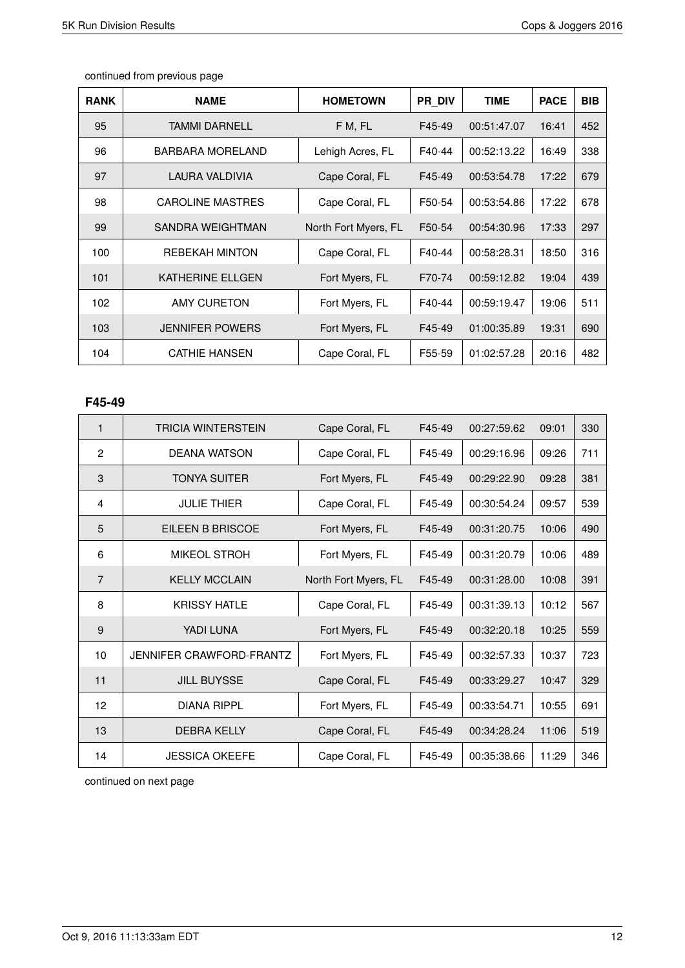| <b>RANK</b> | <b>NAME</b>             | <b>HOMETOWN</b>      | <b>PR DIV</b> | <b>TIME</b> | <b>PACE</b> | <b>BIB</b> |
|-------------|-------------------------|----------------------|---------------|-------------|-------------|------------|
| 95          | TAMMI DARNELL           | F M, FL              | F45-49        | 00:51:47.07 | 16:41       | 452        |
| 96          | BARBARA MORELAND        | Lehigh Acres, FL     | F40-44        | 00:52:13.22 | 16:49       | 338        |
| 97          | LAURA VALDIVIA          | Cape Coral, FL       | F45-49        | 00:53:54.78 | 17:22       | 679        |
| 98          | <b>CAROLINE MASTRES</b> | Cape Coral, FL       | F50-54        | 00:53:54.86 | 17:22       | 678        |
| 99          | SANDRA WEIGHTMAN        | North Fort Myers, FL | F50-54        | 00:54:30.96 | 17:33       | 297        |
| 100         | <b>REBEKAH MINTON</b>   | Cape Coral, FL       | F40-44        | 00:58:28.31 | 18:50       | 316        |
| 101         | <b>KATHERINE ELLGEN</b> | Fort Myers, FL       | F70-74        | 00:59:12.82 | 19:04       | 439        |
| 102         | AMY CURETON             | Fort Myers, FL       | F40-44        | 00:59:19.47 | 19:06       | 511        |
| 103         | <b>JENNIFER POWERS</b>  | Fort Myers, FL       | F45-49        | 01:00:35.89 | 19:31       | 690        |
| 104         | <b>CATHIE HANSEN</b>    | Cape Coral, FL       | F55-59        | 01:02:57.28 | 20:16       | 482        |

#### **F45-49**

| $\mathbf{1}$   | <b>TRICIA WINTERSTEIN</b> | Cape Coral, FL       | F45-49 | 00:27:59.62 | 09:01 | 330 |
|----------------|---------------------------|----------------------|--------|-------------|-------|-----|
| $\overline{2}$ | <b>DEANA WATSON</b>       | Cape Coral, FL       | F45-49 | 00:29:16.96 | 09:26 | 711 |
| 3              | <b>TONYA SUITER</b>       | Fort Myers, FL       | F45-49 | 00:29:22.90 | 09:28 | 381 |
| 4              | <b>JULIE THIER</b>        | Cape Coral, FL       | F45-49 | 00:30:54.24 | 09:57 | 539 |
| 5              | EILEEN B BRISCOE          | Fort Myers, FL       | F45-49 | 00:31:20.75 | 10:06 | 490 |
| 6              | <b>MIKEOL STROH</b>       | Fort Myers, FL       | F45-49 | 00:31:20.79 | 10:06 | 489 |
| $\overline{7}$ | <b>KELLY MCCLAIN</b>      | North Fort Myers, FL | F45-49 | 00:31:28.00 | 10:08 | 391 |
| 8              | <b>KRISSY HATLE</b>       | Cape Coral, FL       | F45-49 | 00:31:39.13 | 10:12 | 567 |
| 9              | YADI LUNA                 | Fort Myers, FL       | F45-49 | 00:32:20.18 | 10:25 | 559 |
| 10             | JENNIFER CRAWFORD-FRANTZ  | Fort Myers, FL       | F45-49 | 00:32:57.33 | 10:37 | 723 |
| 11             | <b>JILL BUYSSE</b>        | Cape Coral, FL       | F45-49 | 00:33:29.27 | 10:47 | 329 |
| 12             | <b>DIANA RIPPL</b>        | Fort Myers, FL       | F45-49 | 00:33:54.71 | 10:55 | 691 |
| 13             | <b>DEBRA KELLY</b>        | Cape Coral, FL       | F45-49 | 00:34:28.24 | 11:06 | 519 |
| 14             | <b>JESSICA OKEEFE</b>     | Cape Coral, FL       | F45-49 | 00:35:38.66 | 11:29 | 346 |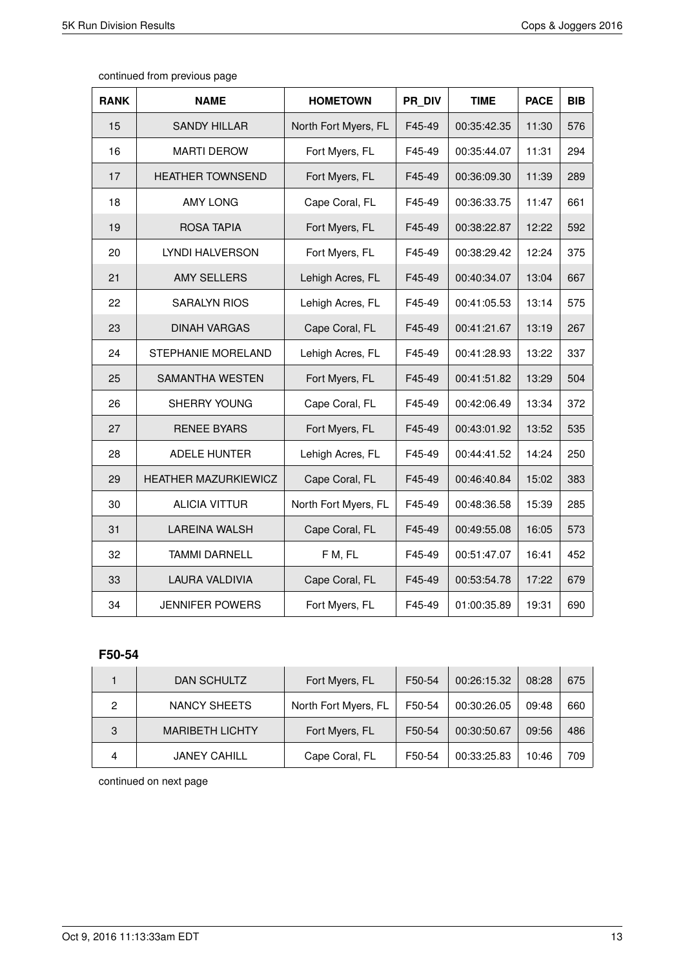| continued from previous page |  |  |
|------------------------------|--|--|
|------------------------------|--|--|

| <b>RANK</b> | <b>NAME</b>             | <b>HOMETOWN</b>      | PR DIV | <b>TIME</b> | <b>PACE</b> | <b>BIB</b> |
|-------------|-------------------------|----------------------|--------|-------------|-------------|------------|
| 15          | <b>SANDY HILLAR</b>     | North Fort Myers, FL | F45-49 | 00:35:42.35 | 11:30       | 576        |
| 16          | <b>MARTI DEROW</b>      | Fort Myers, FL       | F45-49 | 00:35:44.07 | 11:31       | 294        |
| 17          | <b>HEATHER TOWNSEND</b> | Fort Myers, FL       | F45-49 | 00:36:09.30 | 11:39       | 289        |
| 18          | <b>AMY LONG</b>         | Cape Coral, FL       | F45-49 | 00:36:33.75 | 11:47       | 661        |
| 19          | <b>ROSA TAPIA</b>       | Fort Myers, FL       | F45-49 | 00:38:22.87 | 12:22       | 592        |
| 20          | LYNDI HALVERSON         | Fort Myers, FL       | F45-49 | 00:38:29.42 | 12:24       | 375        |
| 21          | <b>AMY SELLERS</b>      | Lehigh Acres, FL     | F45-49 | 00:40:34.07 | 13:04       | 667        |
| 22          | <b>SARALYN RIOS</b>     | Lehigh Acres, FL     | F45-49 | 00:41:05.53 | 13:14       | 575        |
| 23          | <b>DINAH VARGAS</b>     | Cape Coral, FL       | F45-49 | 00:41:21.67 | 13:19       | 267        |
| 24          | STEPHANIE MORELAND      | Lehigh Acres, FL     | F45-49 | 00:41:28.93 | 13:22       | 337        |
| 25          | SAMANTHA WESTEN         | Fort Myers, FL       | F45-49 | 00:41:51.82 | 13:29       | 504        |
| 26          | SHERRY YOUNG            | Cape Coral, FL       | F45-49 | 00:42:06.49 | 13:34       | 372        |
| 27          | <b>RENEE BYARS</b>      | Fort Myers, FL       | F45-49 | 00:43:01.92 | 13:52       | 535        |
| 28          | ADELE HUNTER            | Lehigh Acres, FL     | F45-49 | 00:44:41.52 | 14:24       | 250        |
| 29          | HEATHER MAZURKIEWICZ    | Cape Coral, FL       | F45-49 | 00:46:40.84 | 15:02       | 383        |
| 30          | <b>ALICIA VITTUR</b>    | North Fort Myers, FL | F45-49 | 00:48:36.58 | 15:39       | 285        |
| 31          | <b>LAREINA WALSH</b>    | Cape Coral, FL       | F45-49 | 00:49:55.08 | 16:05       | 573        |
| 32          | <b>TAMMI DARNELL</b>    | F M, FL              | F45-49 | 00:51:47.07 | 16:41       | 452        |
| 33          | <b>LAURA VALDIVIA</b>   | Cape Coral, FL       | F45-49 | 00:53:54.78 | 17:22       | 679        |
| 34          | <b>JENNIFER POWERS</b>  | Fort Myers, FL       | F45-49 | 01:00:35.89 | 19:31       | 690        |

### **F50-54**

|   | DAN SCHULTZ            | Fort Myers, FL       | F50-54 | 00:26:15.32 | 08:28 | 675 |
|---|------------------------|----------------------|--------|-------------|-------|-----|
| 2 | NANCY SHEETS           | North Fort Myers, FL | F50-54 | 00:30:26.05 | 09:48 | 660 |
| 3 | <b>MARIBETH LICHTY</b> | Fort Myers, FL       | F50-54 | 00:30:50.67 | 09:56 | 486 |
| 4 | <b>JANEY CAHILL</b>    | Cape Coral, FL       | F50-54 | 00:33:25.83 | 10:46 | 709 |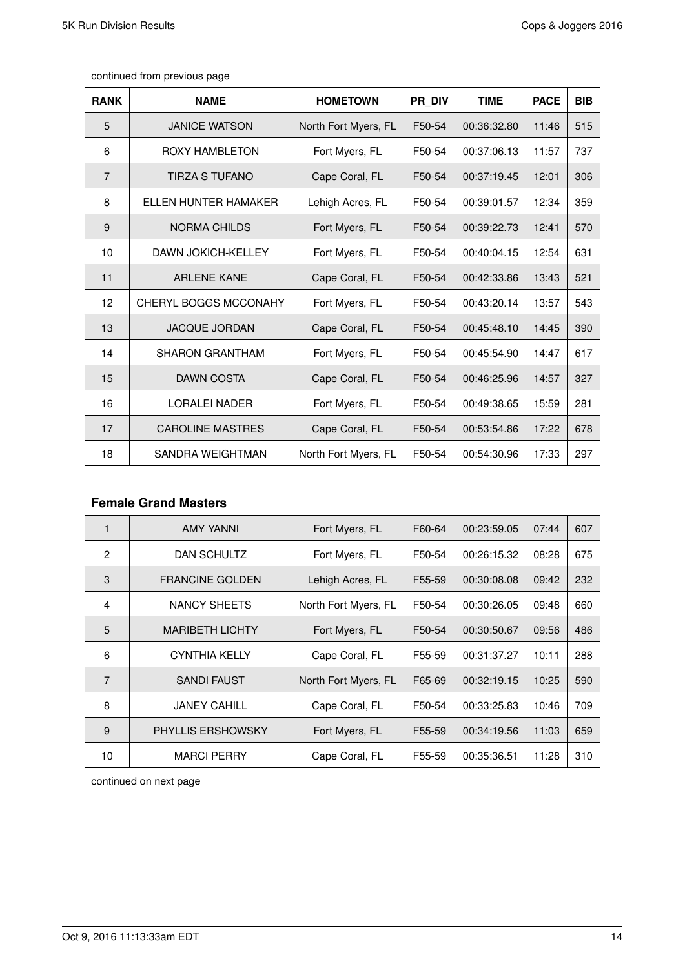| continued from previous page |  |
|------------------------------|--|
|------------------------------|--|

| <b>RANK</b>    | <b>NAME</b>                  | <b>HOMETOWN</b>      | PR_DIV | <b>TIME</b> | <b>PACE</b> | <b>BIB</b> |
|----------------|------------------------------|----------------------|--------|-------------|-------------|------------|
| 5              | <b>JANICE WATSON</b>         | North Fort Myers, FL | F50-54 | 00:36:32.80 | 11:46       | 515        |
| 6              | <b>ROXY HAMBLETON</b>        | Fort Myers, FL       | F50-54 | 00:37:06.13 | 11:57       | 737        |
| $\overline{7}$ | TIRZA S TUFANO               | Cape Coral, FL       | F50-54 | 00:37:19.45 | 12:01       | 306        |
| 8              | ELLEN HUNTER HAMAKER         | Lehigh Acres, FL     | F50-54 | 00:39:01.57 | 12:34       | 359        |
| 9              | <b>NORMA CHILDS</b>          | Fort Myers, FL       | F50-54 | 00:39:22.73 | 12:41       | 570        |
| 10             | <b>DAWN JOKICH-KELLEY</b>    | Fort Myers, FL       | F50-54 | 00:40:04.15 | 12:54       | 631        |
| 11             | ARI FNF KANF                 | Cape Coral, FL       | F50-54 | 00:42:33.86 | 13:43       | 521        |
| 12             | <b>CHERYL BOGGS MCCONAHY</b> | Fort Myers, FL       | F50-54 | 00:43:20.14 | 13:57       | 543        |
| 13             | <b>JACQUE JORDAN</b>         | Cape Coral, FL       | F50-54 | 00:45:48.10 | 14:45       | 390        |
| 14             | <b>SHARON GRANTHAM</b>       | Fort Myers, FL       | F50-54 | 00:45:54.90 | 14:47       | 617        |
| 15             | <b>DAWN COSTA</b>            | Cape Coral, FL       | F50-54 | 00:46:25.96 | 14:57       | 327        |
| 16             | <b>LORALEI NADER</b>         | Fort Myers, FL       | F50-54 | 00:49:38.65 | 15:59       | 281        |
| 17             | <b>CAROLINE MASTRES</b>      | Cape Coral, FL       | F50-54 | 00:53:54.86 | 17:22       | 678        |
| 18             | SANDRA WEIGHTMAN             | North Fort Myers, FL | F50-54 | 00:54:30.96 | 17:33       | 297        |

### **Female Grand Masters**

|                | <b>AMY YANNI</b>         | Fort Myers, FL       | F60-64 | 00:23:59.05 | 07:44 | 607 |
|----------------|--------------------------|----------------------|--------|-------------|-------|-----|
| $\overline{2}$ | DAN SCHULTZ              | Fort Myers, FL       | F50-54 | 00:26:15.32 | 08:28 | 675 |
| 3              | <b>FRANCINE GOLDEN</b>   | Lehigh Acres, FL     | F55-59 | 00:30:08.08 | 09:42 | 232 |
| $\overline{4}$ | <b>NANCY SHEETS</b>      | North Fort Myers, FL | F50-54 | 00:30:26.05 | 09:48 | 660 |
| 5              | <b>MARIBETH LICHTY</b>   | Fort Myers, FL       | F50-54 | 00:30:50.67 | 09:56 | 486 |
| 6              | <b>CYNTHIA KELLY</b>     | Cape Coral, FL       | F55-59 | 00:31:37.27 | 10:11 | 288 |
| $\overline{7}$ | <b>SANDI FAUST</b>       | North Fort Myers, FL | F65-69 | 00:32:19.15 | 10:25 | 590 |
| 8              | <b>JANEY CAHILL</b>      | Cape Coral, FL       | F50-54 | 00:33:25.83 | 10:46 | 709 |
| 9              | <b>PHYLLIS ERSHOWSKY</b> | Fort Myers, FL       | F55-59 | 00:34:19.56 | 11:03 | 659 |
| 10             | <b>MARCI PERRY</b>       | Cape Coral, FL       | F55-59 | 00:35:36.51 | 11:28 | 310 |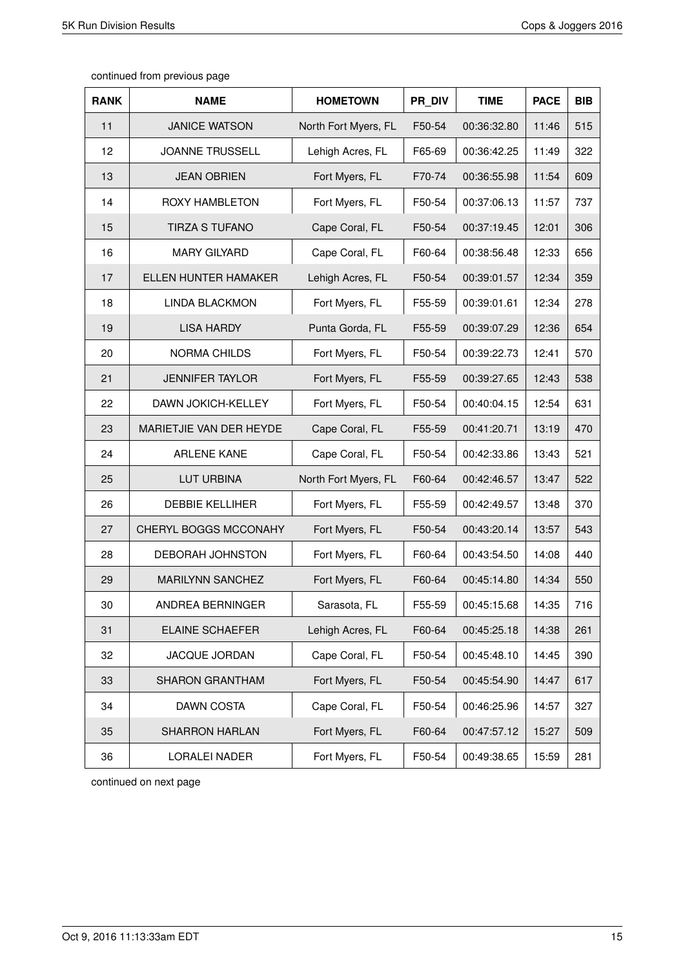| <b>RANK</b> | <b>NAME</b>             | <b>HOMETOWN</b>      | PR DIV | <b>TIME</b> | <b>PACE</b> | <b>BIB</b> |
|-------------|-------------------------|----------------------|--------|-------------|-------------|------------|
| 11          | <b>JANICE WATSON</b>    | North Fort Myers, FL | F50-54 | 00:36:32.80 | 11:46       | 515        |
| 12          | <b>JOANNE TRUSSELL</b>  | Lehigh Acres, FL     | F65-69 | 00:36:42.25 | 11:49       | 322        |
| 13          | <b>JEAN OBRIEN</b>      | Fort Myers, FL       | F70-74 | 00:36:55.98 | 11:54       | 609        |
| 14          | ROXY HAMBLETON          | Fort Myers, FL       | F50-54 | 00:37:06.13 | 11:57       | 737        |
| 15          | <b>TIRZA S TUFANO</b>   | Cape Coral, FL       | F50-54 | 00:37:19.45 | 12:01       | 306        |
| 16          | <b>MARY GILYARD</b>     | Cape Coral, FL       | F60-64 | 00:38:56.48 | 12:33       | 656        |
| 17          | ELLEN HUNTER HAMAKER    | Lehigh Acres, FL     | F50-54 | 00:39:01.57 | 12:34       | 359        |
| 18          | <b>LINDA BLACKMON</b>   | Fort Myers, FL       | F55-59 | 00:39:01.61 | 12:34       | 278        |
| 19          | <b>LISA HARDY</b>       | Punta Gorda, FL      | F55-59 | 00:39:07.29 | 12:36       | 654        |
| 20          | NORMA CHILDS            | Fort Myers, FL       | F50-54 | 00:39:22.73 | 12:41       | 570        |
| 21          | <b>JENNIFER TAYLOR</b>  | Fort Myers, FL       | F55-59 | 00:39:27.65 | 12:43       | 538        |
| 22          | DAWN JOKICH-KELLEY      | Fort Myers, FL       | F50-54 | 00:40:04.15 | 12:54       | 631        |
| 23          | MARIETJIE VAN DER HEYDE | Cape Coral, FL       | F55-59 | 00:41:20.71 | 13:19       | 470        |
| 24          | <b>ARLENE KANE</b>      | Cape Coral, FL       | F50-54 | 00:42:33.86 | 13:43       | 521        |
| 25          | LUT URBINA              | North Fort Myers, FL | F60-64 | 00:42:46.57 | 13:47       | 522        |
| 26          | <b>DEBBIE KELLIHER</b>  | Fort Myers, FL       | F55-59 | 00:42:49.57 | 13:48       | 370        |
| 27          | CHERYL BOGGS MCCONAHY   | Fort Myers, FL       | F50-54 | 00:43:20.14 | 13:57       | 543        |
| 28          | DEBORAH JOHNSTON        | Fort Myers, FL       | F60-64 | 00:43:54.50 | 14:08       | 440        |
| 29          | <b>MARILYNN SANCHEZ</b> | Fort Myers, FL       | F60-64 | 00:45:14.80 | 14:34       | 550        |
| 30          | ANDREA BERNINGER        | Sarasota, FL         | F55-59 | 00:45:15.68 | 14:35       | 716        |
| 31          | <b>ELAINE SCHAEFER</b>  | Lehigh Acres, FL     | F60-64 | 00:45:25.18 | 14:38       | 261        |
| 32          | JACQUE JORDAN           | Cape Coral, FL       | F50-54 | 00:45:48.10 | 14:45       | 390        |
| 33          | <b>SHARON GRANTHAM</b>  | Fort Myers, FL       | F50-54 | 00:45:54.90 | 14:47       | 617        |
| 34          | <b>DAWN COSTA</b>       | Cape Coral, FL       | F50-54 | 00:46:25.96 | 14:57       | 327        |
| 35          | <b>SHARRON HARLAN</b>   | Fort Myers, FL       | F60-64 | 00:47:57.12 | 15:27       | 509        |
| 36          | LORALEI NADER           | Fort Myers, FL       | F50-54 | 00:49:38.65 | 15:59       | 281        |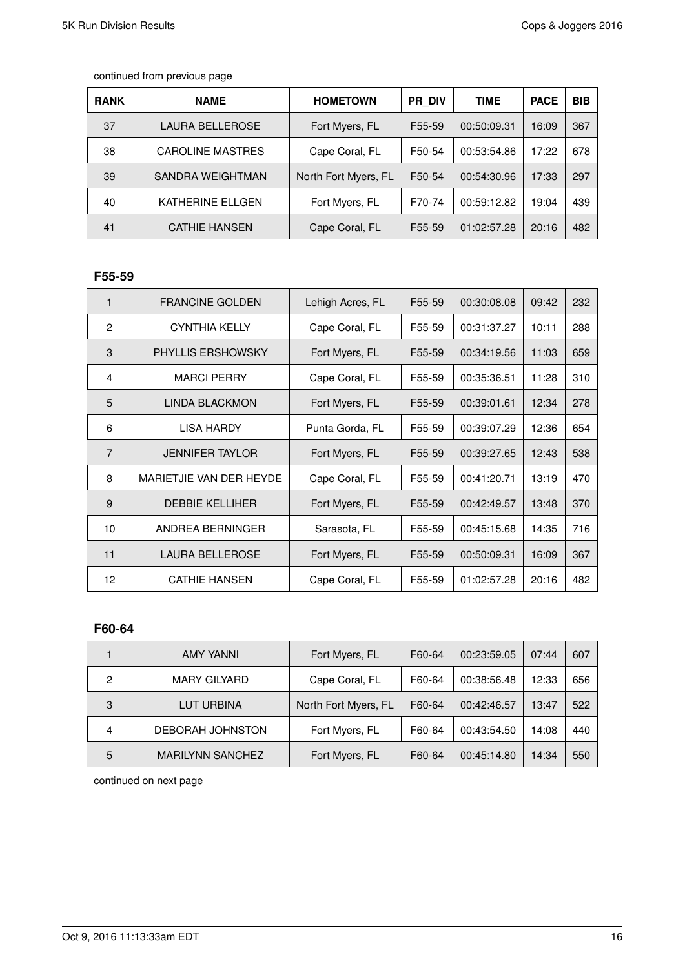| <b>RANK</b> | <b>NAME</b>             | <b>HOMETOWN</b>      | <b>PR DIV</b> | <b>TIME</b> | <b>PACE</b> | <b>BIB</b> |
|-------------|-------------------------|----------------------|---------------|-------------|-------------|------------|
| 37          | LAURA BELLEROSE         | Fort Myers, FL       | F55-59        | 00:50:09.31 | 16:09       | 367        |
| 38          | <b>CAROLINE MASTRES</b> | Cape Coral, FL       | F50-54        | 00:53:54.86 | 17:22       | 678        |
| 39          | SANDRA WEIGHTMAN        | North Fort Myers, FL | F50-54        | 00:54:30.96 | 17:33       | 297        |
| 40          | KATHERINE ELLGEN        | Fort Myers, FL       | F70-74        | 00:59:12.82 | 19:04       | 439        |
| 41          | <b>CATHIE HANSEN</b>    | Cape Coral, FL       | F55-59        | 01:02:57.28 | 20:16       | 482        |

### **F55-59**

| 1              | <b>FRANCINE GOLDEN</b>   | Lehigh Acres, FL | F55-59 | 00:30:08.08 | 09:42 | 232 |
|----------------|--------------------------|------------------|--------|-------------|-------|-----|
| $\overline{2}$ | <b>CYNTHIA KELLY</b>     | Cape Coral, FL   | F55-59 | 00:31:37.27 | 10:11 | 288 |
| 3              | <b>PHYLLIS ERSHOWSKY</b> | Fort Myers, FL   | F55-59 | 00:34:19.56 | 11:03 | 659 |
| 4              | <b>MARCI PERRY</b>       | Cape Coral, FL   | F55-59 | 00:35:36.51 | 11:28 | 310 |
| 5              | <b>LINDA BLACKMON</b>    | Fort Myers, FL   | F55-59 | 00:39:01.61 | 12:34 | 278 |
| 6              | LISA HARDY               | Punta Gorda, FL  | F55-59 | 00:39:07.29 | 12:36 | 654 |
| $\overline{7}$ | <b>JENNIFER TAYLOR</b>   | Fort Myers, FL   | F55-59 | 00:39:27.65 | 12:43 | 538 |
| 8              | MARIETJIE VAN DER HEYDE  | Cape Coral, FL   | F55-59 | 00:41:20.71 | 13:19 | 470 |
| 9              | <b>DEBBIE KELLIHER</b>   | Fort Myers, FL   | F55-59 | 00:42:49.57 | 13:48 | 370 |
| 10             | ANDREA BERNINGER         | Sarasota, FL     | F55-59 | 00:45:15.68 | 14:35 | 716 |
| 11             | <b>LAURA BELLEROSE</b>   | Fort Myers, FL   | F55-59 | 00:50:09.31 | 16:09 | 367 |
| 12             | <b>CATHIE HANSEN</b>     | Cape Coral, FL   | F55-59 | 01:02:57.28 | 20:16 | 482 |

#### **F60-64**

|   | <b>AMY YANNI</b>        | Fort Myers, FL       | F60-64 | 00:23:59.05 | 07:44 | 607 |
|---|-------------------------|----------------------|--------|-------------|-------|-----|
| 2 | <b>MARY GILYARD</b>     | Cape Coral, FL       | F60-64 | 00:38:56.48 | 12:33 | 656 |
| 3 | LUT URBINA              | North Fort Myers, FL | F60-64 | 00:42:46.57 | 13:47 | 522 |
| 4 | DEBORAH JOHNSTON        | Fort Myers, FL       | F60-64 | 00:43:54.50 | 14:08 | 440 |
| 5 | <b>MARILYNN SANCHEZ</b> | Fort Myers, FL       | F60-64 | 00:45:14.80 | 14:34 | 550 |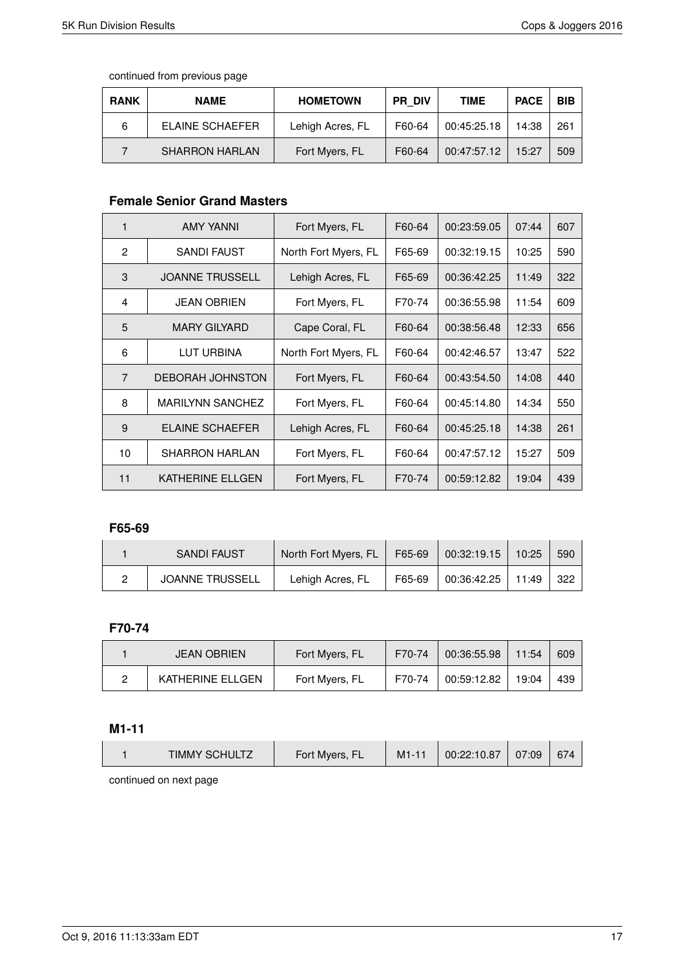| <b>RANK</b> | <b>NAME</b>           | <b>HOMETOWN</b>  | <b>PR DIV</b> | <b>TIME</b> | <b>PACE</b> | <b>BIB</b> |
|-------------|-----------------------|------------------|---------------|-------------|-------------|------------|
| 6           | ELAINE SCHAEFER       | Lehigh Acres, FL | F60-64        | 00:45:25.18 | 14:38       | 261        |
|             | <b>SHARRON HARLAN</b> | Fort Myers, FL   | F60-64        | 00:47:57.12 | 15:27       | 509        |

### **Female Senior Grand Masters**

| 1              | <b>AMY YANNI</b>        | Fort Myers, FL       | F60-64 | 00:23:59.05 | 07:44 | 607 |
|----------------|-------------------------|----------------------|--------|-------------|-------|-----|
| $\overline{2}$ | SANDI FAUST             | North Fort Myers, FL | F65-69 | 00:32:19.15 | 10:25 | 590 |
| 3              | <b>JOANNE TRUSSELL</b>  | Lehigh Acres, FL     | F65-69 | 00:36:42.25 | 11:49 | 322 |
| 4              | <b>JEAN OBRIEN</b>      | Fort Myers, FL       | F70-74 | 00:36:55.98 | 11:54 | 609 |
| 5              | <b>MARY GILYARD</b>     | Cape Coral, FL       | F60-64 | 00:38:56.48 | 12:33 | 656 |
| 6              | LUT URBINA              | North Fort Myers, FL | F60-64 | 00:42:46.57 | 13:47 | 522 |
| $\overline{7}$ | <b>DEBORAH JOHNSTON</b> | Fort Myers, FL       | F60-64 | 00:43:54.50 | 14:08 | 440 |
| 8              | <b>MARILYNN SANCHEZ</b> | Fort Myers, FL       | F60-64 | 00:45:14.80 | 14:34 | 550 |
| 9              | ELAINE SCHAEFER         | Lehigh Acres, FL     | F60-64 | 00:45:25.18 | 14:38 | 261 |
| 10             | <b>SHARRON HARLAN</b>   | Fort Myers, FL       | F60-64 | 00:47:57.12 | 15:27 | 509 |
| 11             | KATHERINE ELLGEN        | Fort Myers, FL       | F70-74 | 00:59:12.82 | 19:04 | 439 |

#### **F65-69**

| <b>SANDI FAUST</b>     | North Fort Myers, FL | F65-69 | 00:32:19.15 | 10:25 | 590 |
|------------------------|----------------------|--------|-------------|-------|-----|
| <b>JOANNE TRUSSELL</b> | Lehigh Acres, FL     | F65-69 | 00:36:42.25 | 11:49 | 322 |

### **F70-74**

| <b>JEAN OBRIEN</b> | Fort Myers, FL | F70-74 | 00:36:55.98 | 11:54 | 609 |
|--------------------|----------------|--------|-------------|-------|-----|
| KATHERINE ELLGEN   | Fort Myers, FL | F70-74 | 00:59:12.82 | 19:04 | 439 |

#### **M1-11**

| <b>TIMMY SCHULTZ</b> | Fort Myers, FL | $M1-1'$ | 00:22:10.87 | 07:09 | 674 |
|----------------------|----------------|---------|-------------|-------|-----|
|                      |                |         |             |       |     |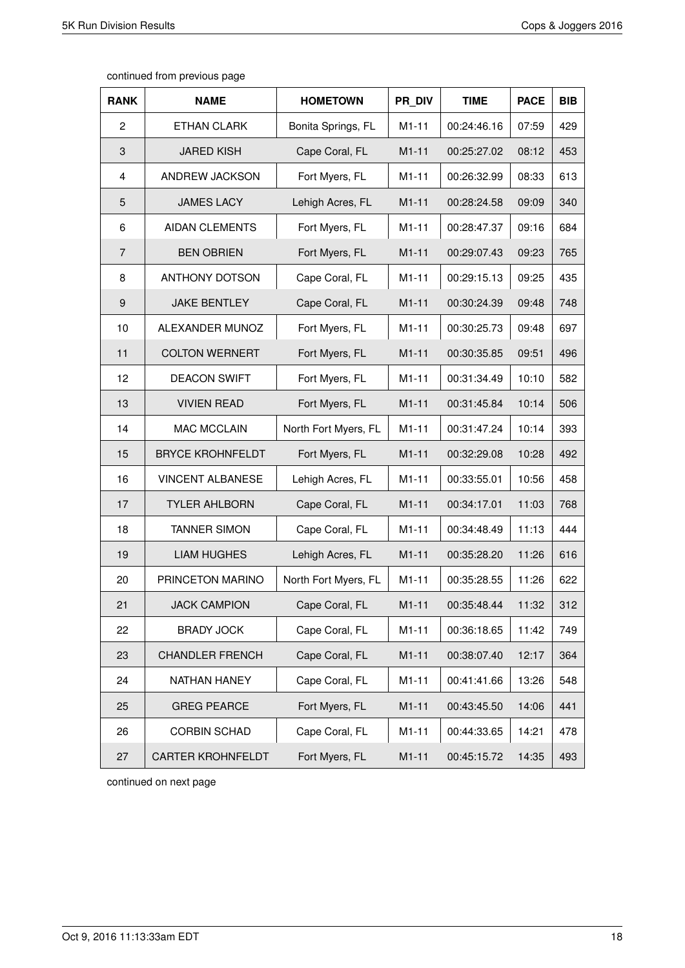| continued from previous page |  |  |
|------------------------------|--|--|
|------------------------------|--|--|

| <b>RANK</b>      | <b>NAME</b>              | <b>HOMETOWN</b>      | PR DIV  | <b>TIME</b> | <b>PACE</b> | <b>BIB</b> |
|------------------|--------------------------|----------------------|---------|-------------|-------------|------------|
| $\overline{2}$   | <b>ETHAN CLARK</b>       | Bonita Springs, FL   | $M1-11$ | 00:24:46.16 | 07:59       | 429        |
| 3                | <b>JARED KISH</b>        | Cape Coral, FL       | $M1-11$ | 00:25:27.02 | 08:12       | 453        |
| $\overline{4}$   | ANDREW JACKSON           | Fort Myers, FL       | $M1-11$ | 00:26:32.99 | 08:33       | 613        |
| 5                | <b>JAMES LACY</b>        | Lehigh Acres, FL     | $M1-11$ | 00:28:24.58 | 09:09       | 340        |
| 6                | <b>AIDAN CLEMENTS</b>    | Fort Myers, FL       | $M1-11$ | 00:28:47.37 | 09:16       | 684        |
| $\overline{7}$   | <b>BEN OBRIEN</b>        | Fort Myers, FL       | $M1-11$ | 00:29:07.43 | 09:23       | 765        |
| 8                | <b>ANTHONY DOTSON</b>    | Cape Coral, FL       | $M1-11$ | 00:29:15.13 | 09:25       | 435        |
| $\boldsymbol{9}$ | <b>JAKE BENTLEY</b>      | Cape Coral, FL       | $M1-11$ | 00:30:24.39 | 09:48       | 748        |
| 10               | ALEXANDER MUNOZ          | Fort Myers, FL       | $M1-11$ | 00:30:25.73 | 09:48       | 697        |
| 11               | <b>COLTON WERNERT</b>    | Fort Myers, FL       | $M1-11$ | 00:30:35.85 | 09:51       | 496        |
| 12               | <b>DEACON SWIFT</b>      | Fort Myers, FL       | $M1-11$ | 00:31:34.49 | 10:10       | 582        |
| 13               | <b>VIVIEN READ</b>       | Fort Myers, FL       | $M1-11$ | 00:31:45.84 | 10:14       | 506        |
| 14               | <b>MAC MCCLAIN</b>       | North Fort Myers, FL | $M1-11$ | 00:31:47.24 | 10:14       | 393        |
| 15               | <b>BRYCE KROHNFELDT</b>  | Fort Myers, FL       | $M1-11$ | 00:32:29.08 | 10:28       | 492        |
| 16               | <b>VINCENT ALBANESE</b>  | Lehigh Acres, FL     | $M1-11$ | 00:33:55.01 | 10:56       | 458        |
| 17               | <b>TYLER AHLBORN</b>     | Cape Coral, FL       | $M1-11$ | 00:34:17.01 | 11:03       | 768        |
| 18               | <b>TANNER SIMON</b>      | Cape Coral, FL       | $M1-11$ | 00:34:48.49 | 11:13       | 444        |
| 19               | <b>LIAM HUGHES</b>       | Lehigh Acres, FL     | $M1-11$ | 00:35:28.20 | 11:26       | 616        |
| 20               | PRINCETON MARINO         | North Fort Myers, FL | $M1-11$ | 00:35:28.55 | 11:26       | 622        |
| 21               | <b>JACK CAMPION</b>      | Cape Coral, FL       | $M1-11$ | 00:35:48.44 | 11:32       | 312        |
| 22               | <b>BRADY JOCK</b>        | Cape Coral, FL       | $M1-11$ | 00:36:18.65 | 11:42       | 749        |
| 23               | <b>CHANDLER FRENCH</b>   | Cape Coral, FL       | $M1-11$ | 00:38:07.40 | 12:17       | 364        |
| 24               | NATHAN HANEY             | Cape Coral, FL       | $M1-11$ | 00:41:41.66 | 13:26       | 548        |
| 25               | <b>GREG PEARCE</b>       | Fort Myers, FL       | $M1-11$ | 00:43:45.50 | 14:06       | 441        |
| 26               | <b>CORBIN SCHAD</b>      | Cape Coral, FL       | $M1-11$ | 00:44:33.65 | 14:21       | 478        |
| 27               | <b>CARTER KROHNFELDT</b> | Fort Myers, FL       | $M1-11$ | 00:45:15.72 | 14:35       | 493        |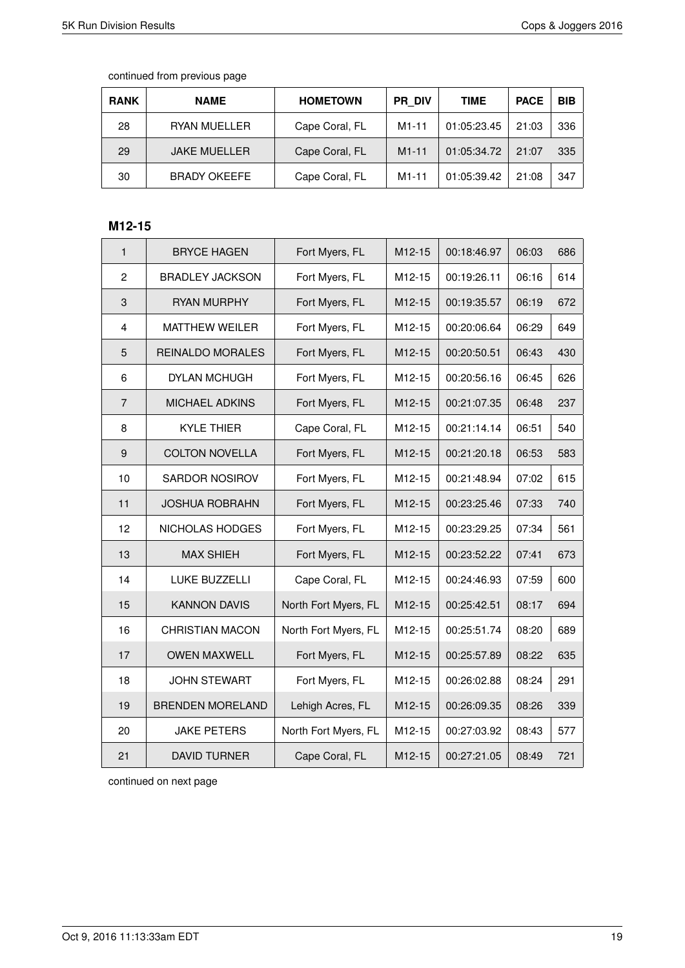| <b>RANK</b> | <b>NAME</b>         | <b>HOMETOWN</b> | PR DIV             | <b>TIME</b> | <b>PACE</b> | <b>BIB</b> |
|-------------|---------------------|-----------------|--------------------|-------------|-------------|------------|
| 28          | <b>RYAN MUELLER</b> | Cape Coral, FL  | M <sub>1</sub> -11 | 01:05:23.45 | 21:03       | 336        |
| 29          | <b>JAKE MUELLER</b> | Cape Coral, FL  | $M1 - 11$          | 01:05:34.72 | 21:07       | 335        |
| 30          | <b>BRADY OKEEFE</b> | Cape Coral, FL  | M <sub>1</sub> -11 | 01:05:39.42 | 21:08       | 347        |

### **M12-15**

| $\mathbf{1}$   | <b>BRYCE HAGEN</b>      | Fort Myers, FL       | M12-15              | 00:18:46.97 | 06:03 | 686 |
|----------------|-------------------------|----------------------|---------------------|-------------|-------|-----|
| $\overline{c}$ | <b>BRADLEY JACKSON</b>  | Fort Myers, FL       | M12-15              | 00:19:26.11 | 06:16 | 614 |
| 3              | <b>RYAN MURPHY</b>      | Fort Myers, FL       | M <sub>12</sub> -15 | 00:19:35.57 | 06:19 | 672 |
| $\overline{4}$ | <b>MATTHEW WEILER</b>   | Fort Myers, FL       | M12-15              | 00:20:06.64 | 06:29 | 649 |
| 5              | <b>REINALDO MORALES</b> | Fort Myers, FL       | M12-15              | 00:20:50.51 | 06:43 | 430 |
| 6              | DYLAN MCHUGH            | Fort Myers, FL       | M12-15              | 00:20:56.16 | 06:45 | 626 |
| $\overline{7}$ | <b>MICHAEL ADKINS</b>   | Fort Myers, FL       | M12-15              | 00:21:07.35 | 06:48 | 237 |
| 8              | <b>KYLE THIER</b>       | Cape Coral, FL       | M12-15              | 00:21:14.14 | 06:51 | 540 |
| 9              | <b>COLTON NOVELLA</b>   | Fort Myers, FL       | M12-15              | 00:21:20.18 | 06:53 | 583 |
| 10             | SARDOR NOSIROV          | Fort Myers, FL       | M12-15              | 00:21:48.94 | 07:02 | 615 |
| 11             | <b>JOSHUA ROBRAHN</b>   | Fort Myers, FL       | M12-15              | 00:23:25.46 | 07:33 | 740 |
| 12             | NICHOLAS HODGES         | Fort Myers, FL       | M12-15              | 00:23:29.25 | 07:34 | 561 |
| 13             | <b>MAX SHIEH</b>        | Fort Myers, FL       | M12-15              | 00:23:52.22 | 07:41 | 673 |
| 14             | <b>LUKE BUZZELLI</b>    | Cape Coral, FL       | M12-15              | 00:24:46.93 | 07:59 | 600 |
| 15             | <b>KANNON DAVIS</b>     | North Fort Myers, FL | M12-15              | 00:25:42.51 | 08:17 | 694 |
| 16             | <b>CHRISTIAN MACON</b>  | North Fort Myers, FL | M12-15              | 00:25:51.74 | 08:20 | 689 |
| 17             | <b>OWEN MAXWELL</b>     | Fort Myers, FL       | M12-15              | 00:25:57.89 | 08:22 | 635 |
| 18             | <b>JOHN STEWART</b>     | Fort Myers, FL       | M12-15              | 00:26:02.88 | 08:24 | 291 |
| 19             | <b>BRENDEN MORELAND</b> | Lehigh Acres, FL     | M12-15              | 00:26:09.35 | 08:26 | 339 |
| 20             | <b>JAKE PETERS</b>      | North Fort Myers, FL | M12-15              | 00:27:03.92 | 08:43 | 577 |
| 21             | <b>DAVID TURNER</b>     | Cape Coral, FL       | M12-15              | 00:27:21.05 | 08:49 | 721 |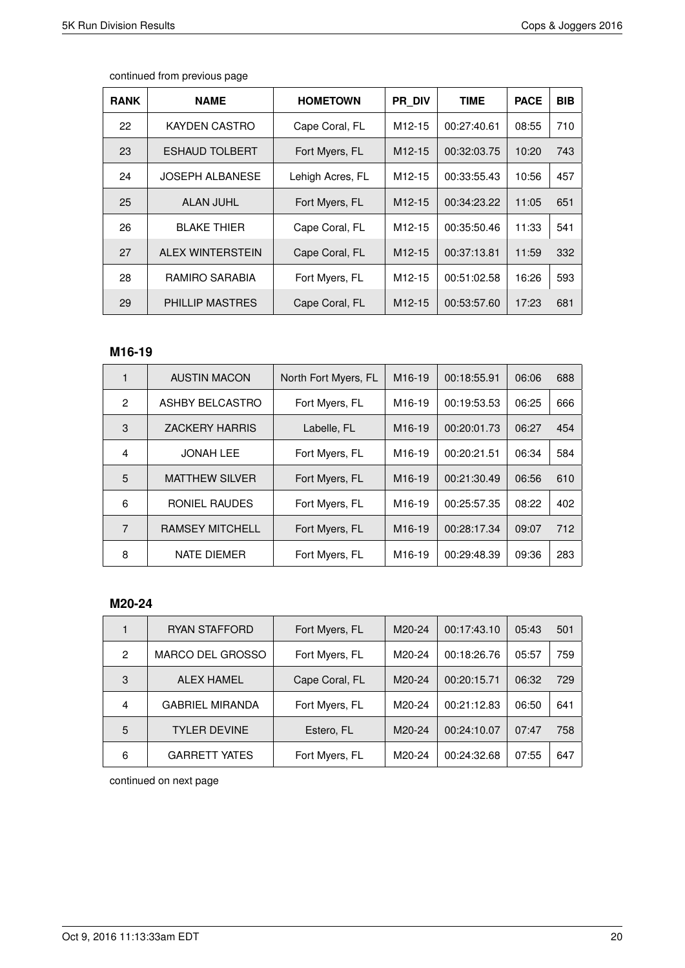| <b>RANK</b> | <b>NAME</b>            | <b>HOMETOWN</b>  | <b>PR DIV</b>       | <b>TIME</b> | <b>PACE</b> | <b>BIB</b> |
|-------------|------------------------|------------------|---------------------|-------------|-------------|------------|
| 22          | KAYDEN CASTRO          | Cape Coral, FL   | M <sub>12</sub> -15 | 00:27:40.61 | 08:55       | 710        |
| 23          | ESHAUD TOLBERT         | Fort Myers, FL   | M <sub>12</sub> -15 | 00:32:03.75 | 10:20       | 743        |
| 24          | <b>JOSEPH ALBANESE</b> | Lehigh Acres, FL | M <sub>12</sub> -15 | 00:33:55.43 | 10:56       | 457        |
| 25          | <b>ALAN JUHL</b>       | Fort Myers, FL   | M <sub>12</sub> -15 | 00:34:23.22 | 11:05       | 651        |
| 26          | <b>BLAKE THIER</b>     | Cape Coral, FL   | M <sub>12</sub> -15 | 00:35:50.46 | 11:33       | 541        |
| 27          | ALEX WINTERSTEIN       | Cape Coral, FL   | M <sub>12</sub> -15 | 00:37:13.81 | 11:59       | 332        |
| 28          | RAMIRO SARABIA         | Fort Myers, FL   | M <sub>12</sub> -15 | 00:51:02.58 | 16:26       | 593        |
| 29          | <b>PHILLIP MASTRES</b> | Cape Coral, FL   | M <sub>12</sub> -15 | 00:53:57.60 | 17:23       | 681        |

### **M16-19**

|               | <b>AUSTIN MACON</b>    | North Fort Myers, FL | M16-19              | 00:18:55.91 | 06:06 | 688 |
|---------------|------------------------|----------------------|---------------------|-------------|-------|-----|
| $\mathcal{P}$ | ASHBY BELCASTRO        | Fort Myers, FL       | M <sub>16</sub> -19 | 00:19:53.53 | 06:25 | 666 |
| 3             | <b>ZACKERY HARRIS</b>  | Labelle, FL          | M <sub>16</sub> -19 | 00:20:01.73 | 06:27 | 454 |
| 4             | <b>JONAH LEE</b>       | Fort Myers, FL       | M <sub>16-19</sub>  | 00:20:21.51 | 06:34 | 584 |
| 5             | <b>MATTHEW SILVER</b>  | Fort Myers, FL       | M <sub>16</sub> -19 | 00:21:30.49 | 06:56 | 610 |
| 6             | RONIEL RAUDES          | Fort Myers, FL       | M <sub>16</sub> -19 | 00:25:57.35 | 08:22 | 402 |
| 7             | <b>RAMSEY MITCHELL</b> | Fort Myers, FL       | M <sub>16-19</sub>  | 00:28:17.34 | 09:07 | 712 |
| 8             | <b>NATE DIEMER</b>     | Fort Myers, FL       | M <sub>16</sub> -19 | 00:29:48.39 | 09:36 | 283 |

#### **M20-24**

|   | RYAN STAFFORD          | Fort Myers, FL | M20-24 | 00:17:43.10 | 05:43 | 501 |
|---|------------------------|----------------|--------|-------------|-------|-----|
| 2 | MARCO DEL GROSSO       | Fort Myers, FL | M20-24 | 00:18:26.76 | 05:57 | 759 |
| 3 | <b>ALEX HAMEL</b>      | Cape Coral, FL | M20-24 | 00:20:15.71 | 06:32 | 729 |
| 4 | <b>GABRIEL MIRANDA</b> | Fort Myers, FL | M20-24 | 00:21:12.83 | 06:50 | 641 |
| 5 | <b>TYLER DEVINE</b>    | Estero, FL     | M20-24 | 00:24:10.07 | 07:47 | 758 |
| 6 | <b>GARRETT YATES</b>   | Fort Myers, FL | M20-24 | 00:24:32.68 | 07:55 | 647 |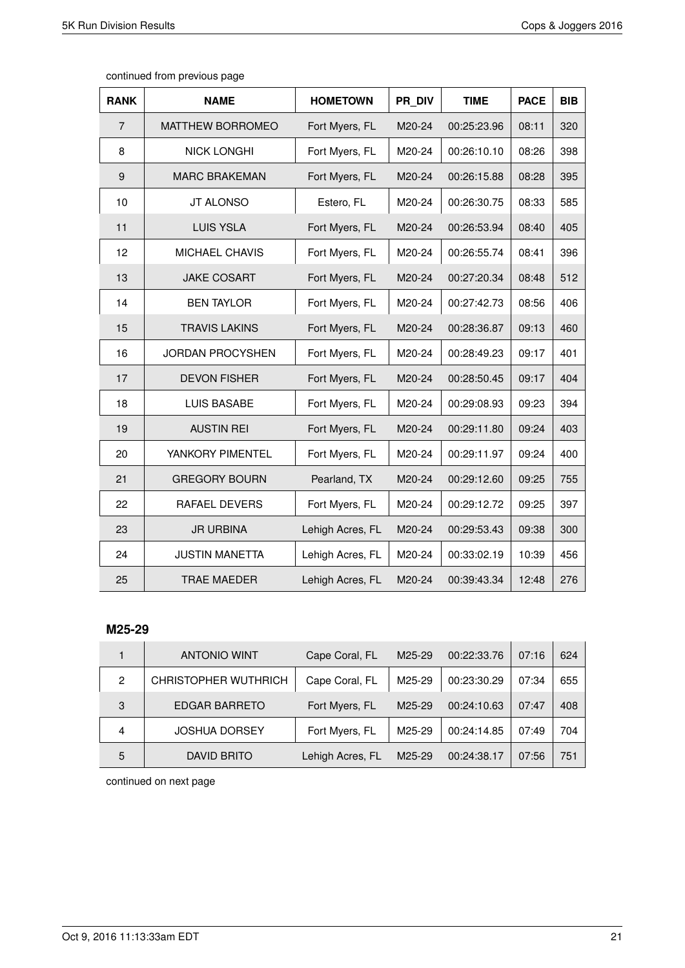| <b>RANK</b>    | <b>NAME</b>             | <b>HOMETOWN</b>  | PR DIV | <b>TIME</b> | <b>PACE</b> | <b>BIB</b> |
|----------------|-------------------------|------------------|--------|-------------|-------------|------------|
| $\overline{7}$ | <b>MATTHEW BORROMEO</b> | Fort Myers, FL   | M20-24 | 00:25:23.96 | 08:11       | 320        |
| 8              | <b>NICK LONGHI</b>      | Fort Myers, FL   | M20-24 | 00:26:10.10 | 08:26       | 398        |
| 9              | <b>MARC BRAKEMAN</b>    | Fort Myers, FL   | M20-24 | 00:26:15.88 | 08:28       | 395        |
| 10             | <b>JT ALONSO</b>        | Estero, FL       | M20-24 | 00:26:30.75 | 08:33       | 585        |
| 11             | <b>LUIS YSLA</b>        | Fort Myers, FL   | M20-24 | 00:26:53.94 | 08:40       | 405        |
| 12             | <b>MICHAEL CHAVIS</b>   | Fort Myers, FL   | M20-24 | 00:26:55.74 | 08:41       | 396        |
| 13             | <b>JAKE COSART</b>      | Fort Myers, FL   | M20-24 | 00:27:20.34 | 08:48       | 512        |
| 14             | <b>BEN TAYLOR</b>       | Fort Myers, FL   | M20-24 | 00:27:42.73 | 08:56       | 406        |
| 15             | <b>TRAVIS LAKINS</b>    | Fort Myers, FL   | M20-24 | 00:28:36.87 | 09:13       | 460        |
| 16             | JORDAN PROCYSHEN        | Fort Myers, FL   | M20-24 | 00:28:49.23 | 09:17       | 401        |
| 17             | <b>DEVON FISHER</b>     | Fort Myers, FL   | M20-24 | 00:28:50.45 | 09:17       | 404        |
| 18             | <b>LUIS BASABE</b>      | Fort Myers, FL   | M20-24 | 00:29:08.93 | 09:23       | 394        |
| 19             | <b>AUSTIN REI</b>       | Fort Myers, FL   | M20-24 | 00:29:11.80 | 09:24       | 403        |
| 20             | YANKORY PIMENTEL        | Fort Myers, FL   | M20-24 | 00:29:11.97 | 09:24       | 400        |
| 21             | <b>GREGORY BOURN</b>    | Pearland, TX     | M20-24 | 00:29:12.60 | 09:25       | 755        |
| 22             | <b>RAFAEL DEVERS</b>    | Fort Myers, FL   | M20-24 | 00:29:12.72 | 09:25       | 397        |
| 23             | <b>JR URBINA</b>        | Lehigh Acres, FL | M20-24 | 00:29:53.43 | 09:38       | 300        |
| 24             | <b>JUSTIN MANETTA</b>   | Lehigh Acres, FL | M20-24 | 00:33:02.19 | 10:39       | 456        |
| 25             | <b>TRAE MAEDER</b>      | Lehigh Acres, FL | M20-24 | 00:39:43.34 | 12:48       | 276        |

#### **M25-29**

|   | <b>ANTONIO WINT</b>         | Cape Coral, FL   | M25-29 | 00:22:33.76 | 07:16 | 624 |
|---|-----------------------------|------------------|--------|-------------|-------|-----|
| 2 | <b>CHRISTOPHER WUTHRICH</b> | Cape Coral, FL   | M25-29 | 00:23:30.29 | 07:34 | 655 |
| 3 | <b>EDGAR BARRETO</b>        | Fort Myers, FL   | M25-29 | 00:24:10.63 | 07:47 | 408 |
| 4 | <b>JOSHUA DORSEY</b>        | Fort Myers, FL   | M25-29 | 00:24:14.85 | 07:49 | 704 |
| 5 | <b>DAVID BRITO</b>          | Lehigh Acres, FL | M25-29 | 00:24:38.17 | 07:56 | 751 |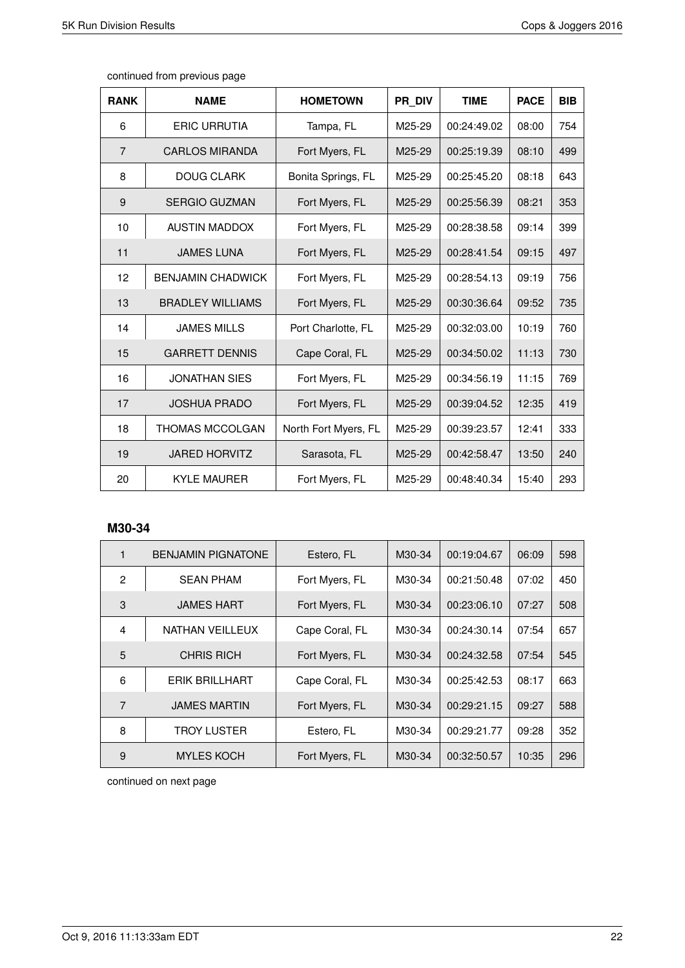| <b>RANK</b>    | <b>NAME</b>              | <b>HOMETOWN</b>      | PR DIV | <b>TIME</b> | <b>PACE</b> | <b>BIB</b> |
|----------------|--------------------------|----------------------|--------|-------------|-------------|------------|
| 6              | <b>ERIC URRUTIA</b>      | Tampa, FL            | M25-29 | 00:24:49.02 | 08:00       | 754        |
| $\overline{7}$ | <b>CARLOS MIRANDA</b>    | Fort Myers, FL       | M25-29 | 00:25:19.39 | 08:10       | 499        |
| 8              | <b>DOUG CLARK</b>        | Bonita Springs, FL   | M25-29 | 00:25:45.20 | 08:18       | 643        |
| 9              | <b>SERGIO GUZMAN</b>     | Fort Myers, FL       | M25-29 | 00:25:56.39 | 08:21       | 353        |
| 10             | <b>AUSTIN MADDOX</b>     | Fort Myers, FL       | M25-29 | 00:28:38.58 | 09:14       | 399        |
| 11             | <b>JAMES LUNA</b>        | Fort Myers, FL       | M25-29 | 00:28:41.54 | 09:15       | 497        |
| 12             | <b>BENJAMIN CHADWICK</b> | Fort Myers, FL       | M25-29 | 00:28:54.13 | 09:19       | 756        |
| 13             | <b>BRADLEY WILLIAMS</b>  | Fort Myers, FL       | M25-29 | 00:30:36.64 | 09:52       | 735        |
| 14             | <b>JAMES MILLS</b>       | Port Charlotte, FL   | M25-29 | 00:32:03.00 | 10:19       | 760        |
| 15             | <b>GARRETT DENNIS</b>    | Cape Coral, FL       | M25-29 | 00:34:50.02 | 11:13       | 730        |
| 16             | <b>JONATHAN SIES</b>     | Fort Myers, FL       | M25-29 | 00:34:56.19 | 11:15       | 769        |
| 17             | <b>JOSHUA PRADO</b>      | Fort Myers, FL       | M25-29 | 00:39:04.52 | 12:35       | 419        |
| 18             | <b>THOMAS MCCOLGAN</b>   | North Fort Myers, FL | M25-29 | 00:39:23.57 | 12:41       | 333        |
| 19             | <b>JARED HORVITZ</b>     | Sarasota, FL         | M25-29 | 00:42:58.47 | 13:50       | 240        |
| 20             | <b>KYLE MAURER</b>       | Fort Myers, FL       | M25-29 | 00:48:40.34 | 15:40       | 293        |

#### **M30-34**

| 1              | <b>BENJAMIN PIGNATONE</b> | Estero, FL     | M30-34 | 00:19:04.67 | 06:09 | 598 |
|----------------|---------------------------|----------------|--------|-------------|-------|-----|
| $\mathfrak{p}$ | <b>SEAN PHAM</b>          | Fort Myers, FL | M30-34 | 00:21:50.48 | 07:02 | 450 |
| 3              | <b>JAMES HART</b>         | Fort Myers, FL | M30-34 | 00:23:06.10 | 07:27 | 508 |
| $\overline{4}$ | NATHAN VEILLEUX           | Cape Coral, FL | M30-34 | 00:24:30.14 | 07:54 | 657 |
| 5              | <b>CHRIS RICH</b>         | Fort Myers, FL | M30-34 | 00:24:32.58 | 07:54 | 545 |
| 6              | <b>ERIK BRILLHART</b>     | Cape Coral, FL | M30-34 | 00:25:42.53 | 08:17 | 663 |
| 7              | <b>JAMES MARTIN</b>       | Fort Myers, FL | M30-34 | 00:29:21.15 | 09:27 | 588 |
| 8              | TROY LUSTER               | Estero, FL     | M30-34 | 00:29:21.77 | 09:28 | 352 |
| 9              | <b>MYLES KOCH</b>         | Fort Myers, FL | M30-34 | 00:32:50.57 | 10:35 | 296 |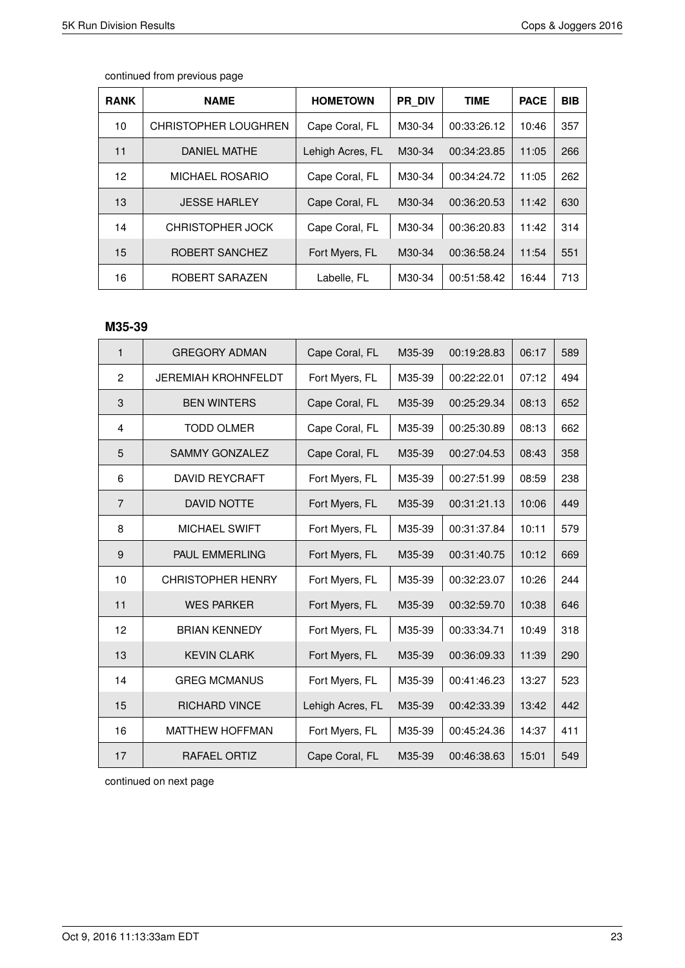| <b>RANK</b> | <b>NAME</b>                 | <b>HOMETOWN</b>  | PR DIV | <b>TIME</b> | <b>PACE</b> | <b>BIB</b> |
|-------------|-----------------------------|------------------|--------|-------------|-------------|------------|
| 10          | <b>CHRISTOPHER LOUGHREN</b> | Cape Coral, FL   | M30-34 | 00:33:26.12 | 10:46       | 357        |
| 11          | <b>DANIEL MATHE</b>         | Lehigh Acres, FL | M30-34 | 00:34:23.85 | 11:05       | 266        |
| 12          | <b>MICHAEL ROSARIO</b>      | Cape Coral, FL   | M30-34 | 00:34:24.72 | 11:05       | 262        |
| 13          | <b>JESSE HARLEY</b>         | Cape Coral, FL   | M30-34 | 00:36:20.53 | 11:42       | 630        |
| 14          | <b>CHRISTOPHER JOCK</b>     | Cape Coral, FL   | M30-34 | 00:36:20.83 | 11:42       | 314        |
| 15          | ROBERT SANCHEZ              | Fort Myers, FL   | M30-34 | 00:36:58.24 | 11:54       | 551        |
| 16          | ROBERT SARAZEN              | Labelle, FL      | M30-34 | 00:51:58.42 | 16:44       | 713        |
|             |                             |                  |        |             |             |            |

#### **M35-39**

| $\mathbf{1}$   | <b>GREGORY ADMAN</b>       | Cape Coral, FL   | M35-39 | 00:19:28.83 | 06:17 | 589 |
|----------------|----------------------------|------------------|--------|-------------|-------|-----|
| $\overline{2}$ | <b>JEREMIAH KROHNFELDT</b> | Fort Myers, FL   | M35-39 | 00:22:22.01 | 07:12 | 494 |
| 3              | <b>BEN WINTERS</b>         | Cape Coral, FL   | M35-39 | 00:25:29.34 | 08:13 | 652 |
| 4              | <b>TODD OLMER</b>          | Cape Coral, FL   | M35-39 | 00:25:30.89 | 08:13 | 662 |
| 5              | <b>SAMMY GONZALEZ</b>      | Cape Coral, FL   | M35-39 | 00:27:04.53 | 08:43 | 358 |
| 6              | <b>DAVID REYCRAFT</b>      | Fort Myers, FL   | M35-39 | 00:27:51.99 | 08:59 | 238 |
| $\overline{7}$ | <b>DAVID NOTTE</b>         | Fort Myers, FL   | M35-39 | 00:31:21.13 | 10:06 | 449 |
| 8              | <b>MICHAEL SWIFT</b>       | Fort Myers, FL   | M35-39 | 00:31:37.84 | 10:11 | 579 |
| 9              | PAUL EMMERLING             | Fort Myers, FL   | M35-39 | 00:31:40.75 | 10:12 | 669 |
| 10             | <b>CHRISTOPHER HENRY</b>   | Fort Myers, FL   | M35-39 | 00:32:23.07 | 10:26 | 244 |
| 11             | <b>WES PARKER</b>          | Fort Myers, FL   | M35-39 | 00:32:59.70 | 10:38 | 646 |
| 12             | <b>BRIAN KENNEDY</b>       | Fort Myers, FL   | M35-39 | 00:33:34.71 | 10:49 | 318 |
| 13             | <b>KEVIN CLARK</b>         | Fort Myers, FL   | M35-39 | 00:36:09.33 | 11:39 | 290 |
| 14             | <b>GREG MCMANUS</b>        | Fort Myers, FL   | M35-39 | 00:41:46.23 | 13:27 | 523 |
| 15             | <b>RICHARD VINCE</b>       | Lehigh Acres, FL | M35-39 | 00:42:33.39 | 13:42 | 442 |
| 16             | <b>MATTHEW HOFFMAN</b>     | Fort Myers, FL   | M35-39 | 00:45:24.36 | 14:37 | 411 |
| 17             | RAFAEL ORTIZ               | Cape Coral, FL   | M35-39 | 00:46:38.63 | 15:01 | 549 |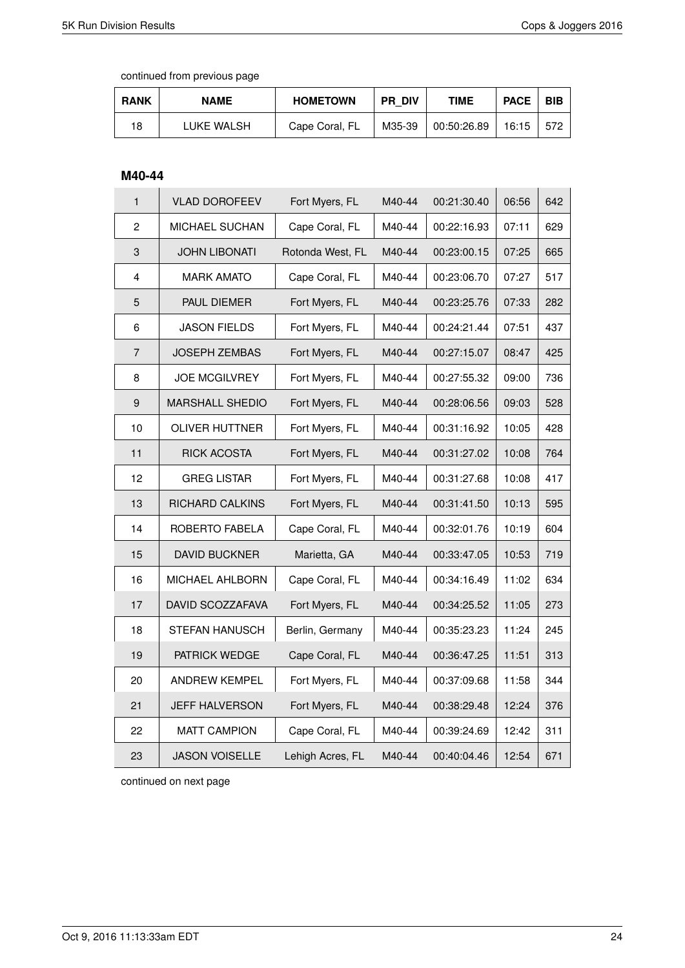continued from previous page

| <b>RANK</b> | <b>NAME</b> | <b>HOMETOWN</b> | <b>PR DIV</b> | <b>TIME</b> | <b>PACE</b> | <b>BIB</b> |
|-------------|-------------|-----------------|---------------|-------------|-------------|------------|
| 18          | LUKE WALSH  | Cape Coral, FL  | M35-39        | 00:50:26.89 | 16:15       | 572        |

#### **M40-44**

| $\mathbf{1}$   | <b>VLAD DOROFEEV</b>   | Fort Myers, FL   | M40-44 | 00:21:30.40 | 06:56 | 642 |
|----------------|------------------------|------------------|--------|-------------|-------|-----|
| $\overline{c}$ | MICHAEL SUCHAN         | Cape Coral, FL   | M40-44 | 00:22:16.93 | 07:11 | 629 |
| 3              | <b>JOHN LIBONATI</b>   | Rotonda West, FL | M40-44 | 00:23:00.15 | 07:25 | 665 |
| $\overline{4}$ | <b>MARK AMATO</b>      | Cape Coral, FL   | M40-44 | 00:23:06.70 | 07:27 | 517 |
| 5              | PAUL DIEMER            | Fort Myers, FL   | M40-44 | 00:23:25.76 | 07:33 | 282 |
| 6              | <b>JASON FIELDS</b>    | Fort Myers, FL   | M40-44 | 00:24:21.44 | 07:51 | 437 |
| 7              | JOSEPH ZEMBAS          | Fort Myers, FL   | M40-44 | 00:27:15.07 | 08:47 | 425 |
| 8              | <b>JOE MCGILVREY</b>   | Fort Myers, FL   | M40-44 | 00:27:55.32 | 09:00 | 736 |
| 9              | <b>MARSHALL SHEDIO</b> | Fort Myers, FL   | M40-44 | 00:28:06.56 | 09:03 | 528 |
| 10             | <b>OLIVER HUTTNER</b>  | Fort Myers, FL   | M40-44 | 00:31:16.92 | 10:05 | 428 |
| 11             | <b>RICK ACOSTA</b>     | Fort Myers, FL   | M40-44 | 00:31:27.02 | 10:08 | 764 |
| 12             | <b>GREG LISTAR</b>     | Fort Myers, FL   | M40-44 | 00:31:27.68 | 10:08 | 417 |
| 13             | <b>RICHARD CALKINS</b> | Fort Myers, FL   | M40-44 | 00:31:41.50 | 10:13 | 595 |
| 14             | ROBERTO FABELA         | Cape Coral, FL   | M40-44 | 00:32:01.76 | 10:19 | 604 |
| 15             | <b>DAVID BUCKNER</b>   | Marietta, GA     | M40-44 | 00:33:47.05 | 10:53 | 719 |
| 16             | <b>MICHAEL AHLBORN</b> | Cape Coral, FL   | M40-44 | 00:34:16.49 | 11:02 | 634 |
| 17             | DAVID SCOZZAFAVA       | Fort Myers, FL   | M40-44 | 00:34:25.52 | 11:05 | 273 |
| 18             | <b>STEFAN HANUSCH</b>  | Berlin, Germany  | M40-44 | 00:35:23.23 | 11:24 | 245 |
| 19             | PATRICK WEDGE          | Cape Coral, FL   | M40-44 | 00:36:47.25 | 11:51 | 313 |
| 20             | <b>ANDREW KEMPEL</b>   | Fort Myers, FL   | M40-44 | 00:37:09.68 | 11:58 | 344 |
| 21             | <b>JEFF HALVERSON</b>  | Fort Myers, FL   | M40-44 | 00:38:29.48 | 12:24 | 376 |
| 22             | <b>MATT CAMPION</b>    | Cape Coral, FL   | M40-44 | 00:39:24.69 | 12:42 | 311 |
| 23             | <b>JASON VOISELLE</b>  | Lehigh Acres, FL | M40-44 | 00:40:04.46 | 12:54 | 671 |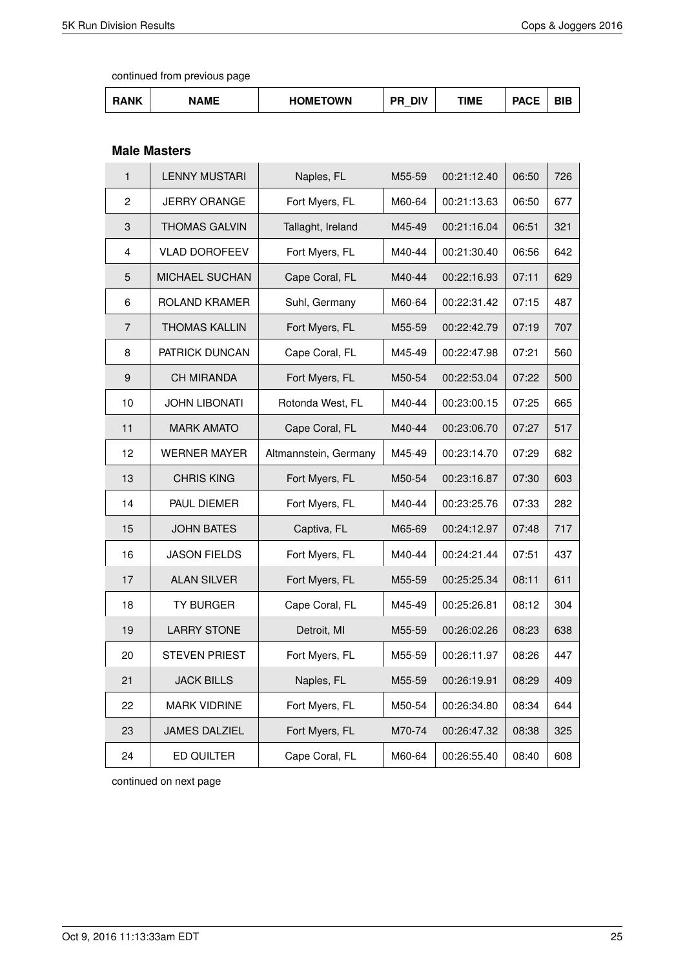| ١NΚ | <b>NAMF</b> | <b>HOMETOWN</b> | <b>DIV</b><br>חר | TIME | <b>DAOF</b><br><b>AUL</b> | ---<br>ווס |
|-----|-------------|-----------------|------------------|------|---------------------------|------------|
|-----|-------------|-----------------|------------------|------|---------------------------|------------|

### **Male Masters**

| $\mathbf{1}$   | <b>LENNY MUSTARI</b>  | Naples, FL            | M55-59 | 00:21:12.40 | 06:50 | 726 |
|----------------|-----------------------|-----------------------|--------|-------------|-------|-----|
| 2              | <b>JERRY ORANGE</b>   | Fort Myers, FL        | M60-64 | 00:21:13.63 | 06:50 | 677 |
| 3              | <b>THOMAS GALVIN</b>  | Tallaght, Ireland     | M45-49 | 00:21:16.04 | 06:51 | 321 |
| 4              | <b>VLAD DOROFEEV</b>  | Fort Myers, FL        | M40-44 | 00:21:30.40 | 06:56 | 642 |
| 5              | <b>MICHAEL SUCHAN</b> | Cape Coral, FL        | M40-44 | 00:22:16.93 | 07:11 | 629 |
| 6              | <b>ROLAND KRAMER</b>  | Suhl, Germany         | M60-64 | 00:22:31.42 | 07:15 | 487 |
| $\overline{7}$ | <b>THOMAS KALLIN</b>  | Fort Myers, FL        | M55-59 | 00:22:42.79 | 07:19 | 707 |
| 8              | PATRICK DUNCAN        | Cape Coral, FL        | M45-49 | 00:22:47.98 | 07:21 | 560 |
| 9              | <b>CH MIRANDA</b>     | Fort Myers, FL        | M50-54 | 00:22:53.04 | 07:22 | 500 |
| 10             | <b>JOHN LIBONATI</b>  | Rotonda West, FL      | M40-44 | 00:23:00.15 | 07:25 | 665 |
| 11             | <b>MARK AMATO</b>     | Cape Coral, FL        | M40-44 | 00:23:06.70 | 07:27 | 517 |
| 12             | <b>WERNER MAYER</b>   | Altmannstein, Germany | M45-49 | 00:23:14.70 | 07:29 | 682 |
| 13             | <b>CHRIS KING</b>     | Fort Myers, FL        | M50-54 | 00:23:16.87 | 07:30 | 603 |
| 14             | PAUL DIEMER           | Fort Myers, FL        | M40-44 | 00:23:25.76 | 07:33 | 282 |
| 15             | <b>JOHN BATES</b>     | Captiva, FL           | M65-69 | 00:24:12.97 | 07:48 | 717 |
| 16             | <b>JASON FIELDS</b>   | Fort Myers, FL        | M40-44 | 00:24:21.44 | 07:51 | 437 |
| 17             | <b>ALAN SILVER</b>    | Fort Myers, FL        | M55-59 | 00:25:25.34 | 08:11 | 611 |
| 18             | <b>TY BURGER</b>      | Cape Coral, FL        | M45-49 | 00:25:26.81 | 08:12 | 304 |
| 19             | <b>LARRY STONE</b>    | Detroit, MI           | M55-59 | 00:26:02.26 | 08:23 | 638 |
| 20             | <b>STEVEN PRIEST</b>  | Fort Myers, FL        | M55-59 | 00:26:11.97 | 08:26 | 447 |
| 21             | <b>JACK BILLS</b>     | Naples, FL            | M55-59 | 00:26:19.91 | 08:29 | 409 |
| 22             | <b>MARK VIDRINE</b>   | Fort Myers, FL        | M50-54 | 00:26:34.80 | 08:34 | 644 |
| 23             | <b>JAMES DALZIEL</b>  | Fort Myers, FL        | M70-74 | 00:26:47.32 | 08:38 | 325 |
| 24             | ED QUILTER            | Cape Coral, FL        | M60-64 | 00:26:55.40 | 08:40 | 608 |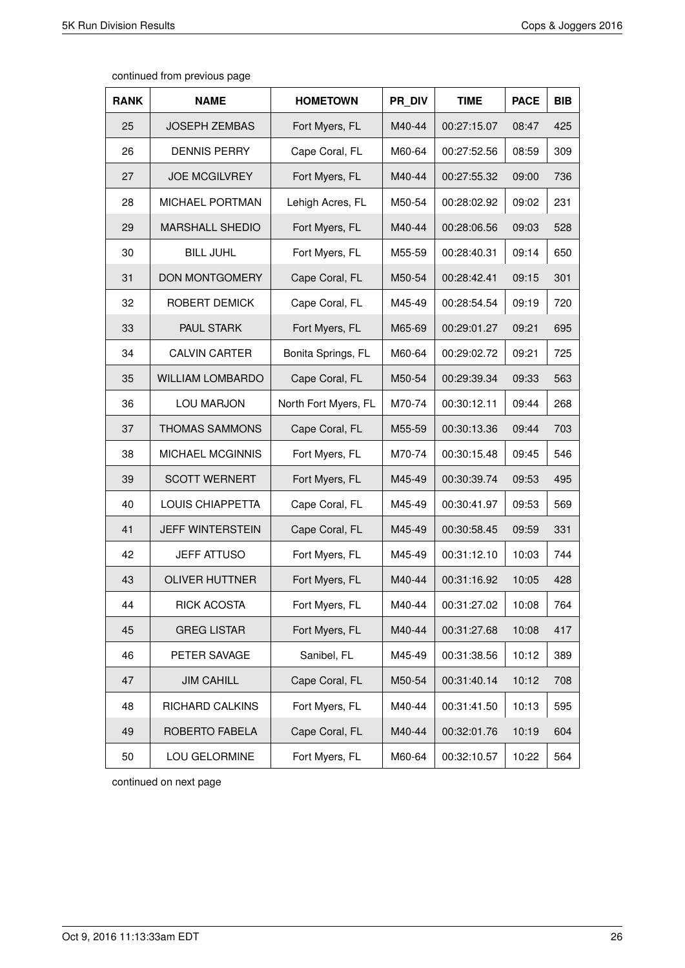| <b>RANK</b> | <b>NAME</b>             | <b>HOMETOWN</b>      | PR DIV | <b>TIME</b> | <b>PACE</b> | <b>BIB</b> |
|-------------|-------------------------|----------------------|--------|-------------|-------------|------------|
| 25          | <b>JOSEPH ZEMBAS</b>    | Fort Myers, FL       | M40-44 | 00:27:15.07 | 08:47       | 425        |
| 26          | <b>DENNIS PERRY</b>     | Cape Coral, FL       | M60-64 | 00:27:52.56 | 08:59       | 309        |
| 27          | <b>JOE MCGILVREY</b>    | Fort Myers, FL       | M40-44 | 00:27:55.32 | 09:00       | 736        |
| 28          | MICHAEL PORTMAN         | Lehigh Acres, FL     | M50-54 | 00:28:02.92 | 09:02       | 231        |
| 29          | <b>MARSHALL SHEDIO</b>  | Fort Myers, FL       | M40-44 | 00:28:06.56 | 09:03       | 528        |
| 30          | <b>BILL JUHL</b>        | Fort Myers, FL       | M55-59 | 00:28:40.31 | 09:14       | 650        |
| 31          | <b>DON MONTGOMERY</b>   | Cape Coral, FL       | M50-54 | 00:28:42.41 | 09:15       | 301        |
| 32          | ROBERT DEMICK           | Cape Coral, FL       | M45-49 | 00:28:54.54 | 09:19       | 720        |
| 33          | PAUL STARK              | Fort Myers, FL       | M65-69 | 00:29:01.27 | 09:21       | 695        |
| 34          | <b>CALVIN CARTER</b>    | Bonita Springs, FL   | M60-64 | 00:29:02.72 | 09:21       | 725        |
| 35          | <b>WILLIAM LOMBARDO</b> | Cape Coral, FL       | M50-54 | 00:29:39.34 | 09:33       | 563        |
| 36          | <b>LOU MARJON</b>       | North Fort Myers, FL | M70-74 | 00:30:12.11 | 09:44       | 268        |
| 37          | <b>THOMAS SAMMONS</b>   | Cape Coral, FL       | M55-59 | 00:30:13.36 | 09:44       | 703        |
| 38          | MICHAEL MCGINNIS        | Fort Myers, FL       | M70-74 | 00:30:15.48 | 09:45       | 546        |
| 39          | <b>SCOTT WERNERT</b>    | Fort Myers, FL       | M45-49 | 00:30:39.74 | 09:53       | 495        |
| 40          | LOUIS CHIAPPETTA        | Cape Coral, FL       | M45-49 | 00:30:41.97 | 09:53       | 569        |
| 41          | <b>JEFF WINTERSTEIN</b> | Cape Coral, FL       | M45-49 | 00:30:58.45 | 09:59       | 331        |
| 42          | <b>JEFF ATTUSO</b>      | Fort Myers, FL       | M45-49 | 00:31:12.10 | 10:03       | 744        |
| 43          | <b>OLIVER HUTTNER</b>   | Fort Myers, FL       | M40-44 | 00:31:16.92 | 10:05       | 428        |
| 44          | RICK ACOSTA             | Fort Myers, FL       | M40-44 | 00:31:27.02 | 10:08       | 764        |
| 45          | <b>GREG LISTAR</b>      | Fort Myers, FL       | M40-44 | 00:31:27.68 | 10:08       | 417        |
| 46          | PETER SAVAGE            | Sanibel, FL          | M45-49 | 00:31:38.56 | 10:12       | 389        |
| 47          | <b>JIM CAHILL</b>       | Cape Coral, FL       | M50-54 | 00:31:40.14 | 10:12       | 708        |
| 48          | RICHARD CALKINS         | Fort Myers, FL       | M40-44 | 00:31:41.50 | 10:13       | 595        |
| 49          | ROBERTO FABELA          | Cape Coral, FL       | M40-44 | 00:32:01.76 | 10:19       | 604        |
| 50          | LOU GELORMINE           | Fort Myers, FL       | M60-64 | 00:32:10.57 | 10:22       | 564        |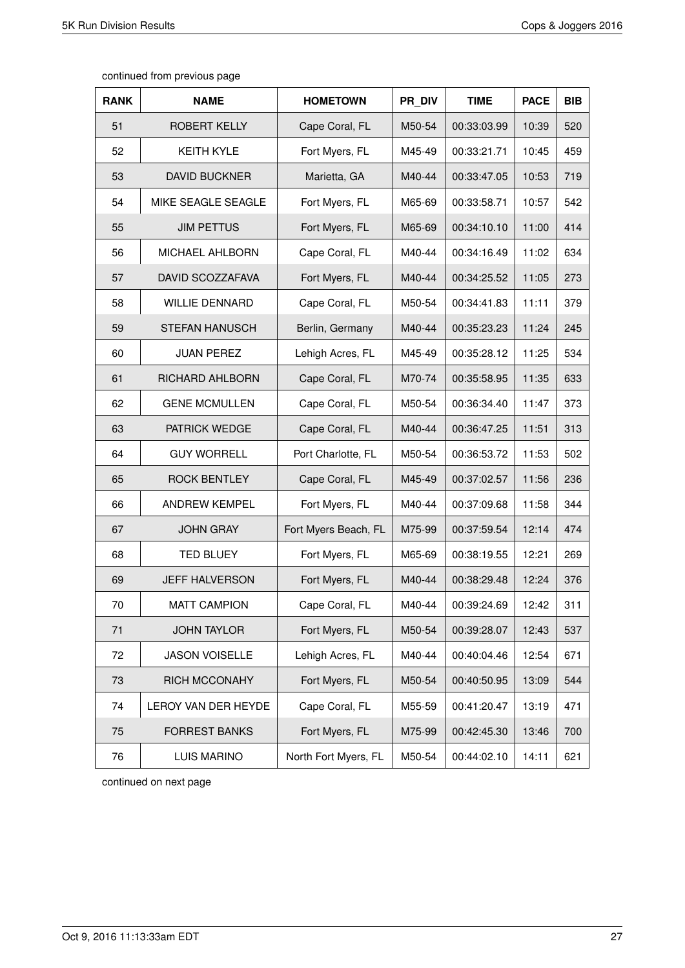| <b>RANK</b> | <b>NAME</b>            | <b>HOMETOWN</b>      | PR DIV | <b>TIME</b> | <b>PACE</b> | <b>BIB</b> |
|-------------|------------------------|----------------------|--------|-------------|-------------|------------|
| 51          | <b>ROBERT KELLY</b>    | Cape Coral, FL       | M50-54 | 00:33:03.99 | 10:39       | 520        |
| 52          | <b>KEITH KYLE</b>      | Fort Myers, FL       | M45-49 | 00:33:21.71 | 10:45       | 459        |
| 53          | <b>DAVID BUCKNER</b>   | Marietta, GA         | M40-44 | 00:33:47.05 | 10:53       | 719        |
| 54          | MIKE SEAGLE SEAGLE     | Fort Myers, FL       | M65-69 | 00:33:58.71 | 10:57       | 542        |
| 55          | <b>JIM PETTUS</b>      | Fort Myers, FL       | M65-69 | 00:34:10.10 | 11:00       | 414        |
| 56          | <b>MICHAEL AHLBORN</b> | Cape Coral, FL       | M40-44 | 00:34:16.49 | 11:02       | 634        |
| 57          | DAVID SCOZZAFAVA       | Fort Myers, FL       | M40-44 | 00:34:25.52 | 11:05       | 273        |
| 58          | <b>WILLIE DENNARD</b>  | Cape Coral, FL       | M50-54 | 00:34:41.83 | 11:11       | 379        |
| 59          | <b>STEFAN HANUSCH</b>  | Berlin, Germany      | M40-44 | 00:35:23.23 | 11:24       | 245        |
| 60          | <b>JUAN PEREZ</b>      | Lehigh Acres, FL     | M45-49 | 00:35:28.12 | 11:25       | 534        |
| 61          | RICHARD AHLBORN        | Cape Coral, FL       | M70-74 | 00:35:58.95 | 11:35       | 633        |
| 62          | <b>GENE MCMULLEN</b>   | Cape Coral, FL       | M50-54 | 00:36:34.40 | 11:47       | 373        |
| 63          | PATRICK WEDGE          | Cape Coral, FL       | M40-44 | 00:36:47.25 | 11:51       | 313        |
| 64          | <b>GUY WORRELL</b>     | Port Charlotte, FL   | M50-54 | 00:36:53.72 | 11:53       | 502        |
| 65          | <b>ROCK BENTLEY</b>    | Cape Coral, FL       | M45-49 | 00:37:02.57 | 11:56       | 236        |
| 66          | <b>ANDREW KEMPEL</b>   | Fort Myers, FL       | M40-44 | 00:37:09.68 | 11:58       | 344        |
| 67          | <b>JOHN GRAY</b>       | Fort Myers Beach, FL | M75-99 | 00:37:59.54 | 12:14       | 474        |
| 68          | <b>TED BLUEY</b>       | Fort Myers, FL       | M65-69 | 00:38:19.55 | 12:21       | 269        |
| 69          | <b>JEFF HALVERSON</b>  | Fort Myers, FL       | M40-44 | 00:38:29.48 | 12:24       | 376        |
| 70          | <b>MATT CAMPION</b>    | Cape Coral, FL       | M40-44 | 00:39:24.69 | 12:42       | 311        |
| 71          | <b>JOHN TAYLOR</b>     | Fort Myers, FL       | M50-54 | 00:39:28.07 | 12:43       | 537        |
| 72          | <b>JASON VOISELLE</b>  | Lehigh Acres, FL     | M40-44 | 00:40:04.46 | 12:54       | 671        |
| 73          | <b>RICH MCCONAHY</b>   | Fort Myers, FL       | M50-54 | 00:40:50.95 | 13:09       | 544        |
| 74          | LEROY VAN DER HEYDE    | Cape Coral, FL       | M55-59 | 00:41:20.47 | 13:19       | 471        |
| 75          | <b>FORREST BANKS</b>   | Fort Myers, FL       | M75-99 | 00:42:45.30 | 13:46       | 700        |
| 76          | LUIS MARINO            | North Fort Myers, FL | M50-54 | 00:44:02.10 | 14:11       | 621        |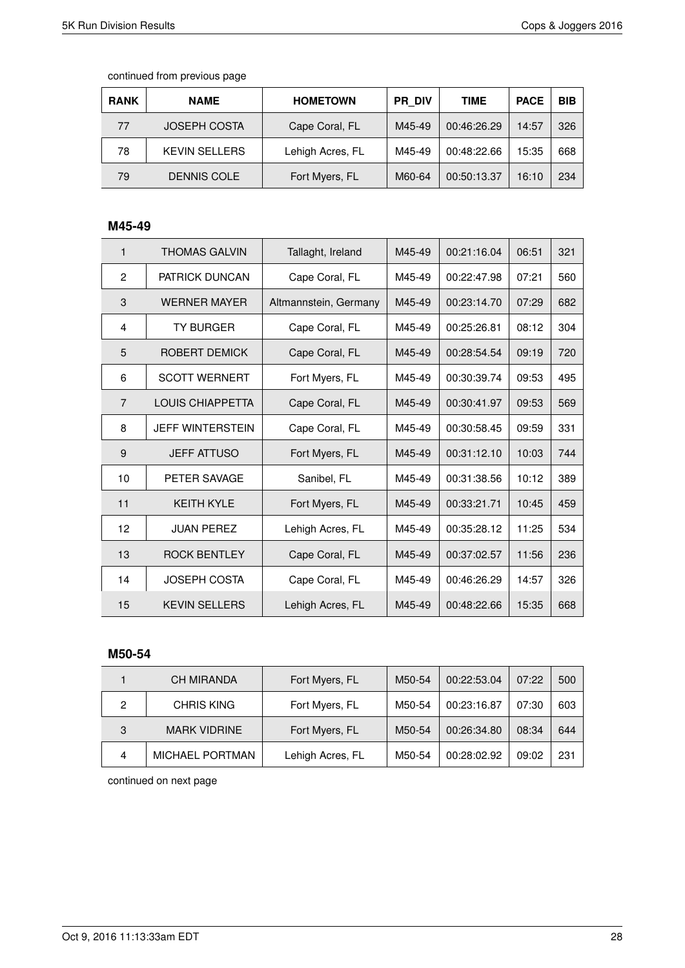| <b>RANK</b> | <b>NAME</b>          | <b>HOMETOWN</b>  | <b>PR DIV</b> | <b>TIME</b> | <b>PACE</b> | <b>BIB</b> |
|-------------|----------------------|------------------|---------------|-------------|-------------|------------|
| 77          | <b>JOSEPH COSTA</b>  | Cape Coral, FL   | M45-49        | 00:46:26.29 | 14:57       | 326        |
| 78          | <b>KEVIN SELLERS</b> | Lehigh Acres, FL | M45-49        | 00:48:22.66 | 15:35       | 668        |
| 79          | <b>DENNIS COLE</b>   | Fort Myers, FL   | M60-64        | 00:50:13.37 | 16:10       | 234        |

## **M45-49**

| 1              | <b>THOMAS GALVIN</b>    | Tallaght, Ireland     | M45-49 | 00:21:16.04 | 06:51 | 321 |
|----------------|-------------------------|-----------------------|--------|-------------|-------|-----|
| $\overline{2}$ | <b>PATRICK DUNCAN</b>   | Cape Coral, FL        | M45-49 | 00:22:47.98 | 07:21 | 560 |
| 3              | <b>WERNER MAYER</b>     | Altmannstein, Germany | M45-49 | 00:23:14.70 | 07:29 | 682 |
| 4              | <b>TY BURGER</b>        | Cape Coral, FL        | M45-49 | 00:25:26.81 | 08:12 | 304 |
| 5              | ROBERT DEMICK           | Cape Coral, FL        | M45-49 | 00:28:54.54 | 09:19 | 720 |
| 6              | <b>SCOTT WERNERT</b>    | Fort Myers, FL        | M45-49 | 00:30:39.74 | 09:53 | 495 |
| $\overline{7}$ | <b>LOUIS CHIAPPETTA</b> | Cape Coral, FL        | M45-49 | 00:30:41.97 | 09:53 | 569 |
| 8              | <b>JEFF WINTERSTEIN</b> | Cape Coral, FL        | M45-49 | 00:30:58.45 | 09:59 | 331 |
| 9              | <b>JEFF ATTUSO</b>      | Fort Myers, FL        | M45-49 | 00:31:12.10 | 10:03 | 744 |
| 10             | PETER SAVAGE            | Sanibel, FL           | M45-49 | 00:31:38.56 | 10:12 | 389 |
| 11             | <b>KEITH KYLE</b>       | Fort Myers, FL        | M45-49 | 00:33:21.71 | 10:45 | 459 |
| 12             | <b>JUAN PEREZ</b>       | Lehigh Acres, FL      | M45-49 | 00:35:28.12 | 11:25 | 534 |
| 13             | <b>ROCK BENTLEY</b>     | Cape Coral, FL        | M45-49 | 00:37:02.57 | 11:56 | 236 |
| 14             | <b>JOSEPH COSTA</b>     | Cape Coral, FL        | M45-49 | 00:46:26.29 | 14:57 | 326 |
| 15             | <b>KEVIN SELLERS</b>    | Lehigh Acres, FL      | M45-49 | 00:48:22.66 | 15:35 | 668 |

#### **M50-54**

|   | <b>CH MIRANDA</b>      | Fort Myers, FL   | M50-54 | 00:22:53.04 | 07:22 | 500 |
|---|------------------------|------------------|--------|-------------|-------|-----|
| 2 | <b>CHRIS KING</b>      | Fort Myers, FL   | M50-54 | 00:23:16.87 | 07:30 | 603 |
| 3 | <b>MARK VIDRINE</b>    | Fort Myers, FL   | M50-54 | 00:26:34.80 | 08:34 | 644 |
| 4 | <b>MICHAEL PORTMAN</b> | Lehigh Acres, FL | M50-54 | 00:28:02.92 | 09:02 | 231 |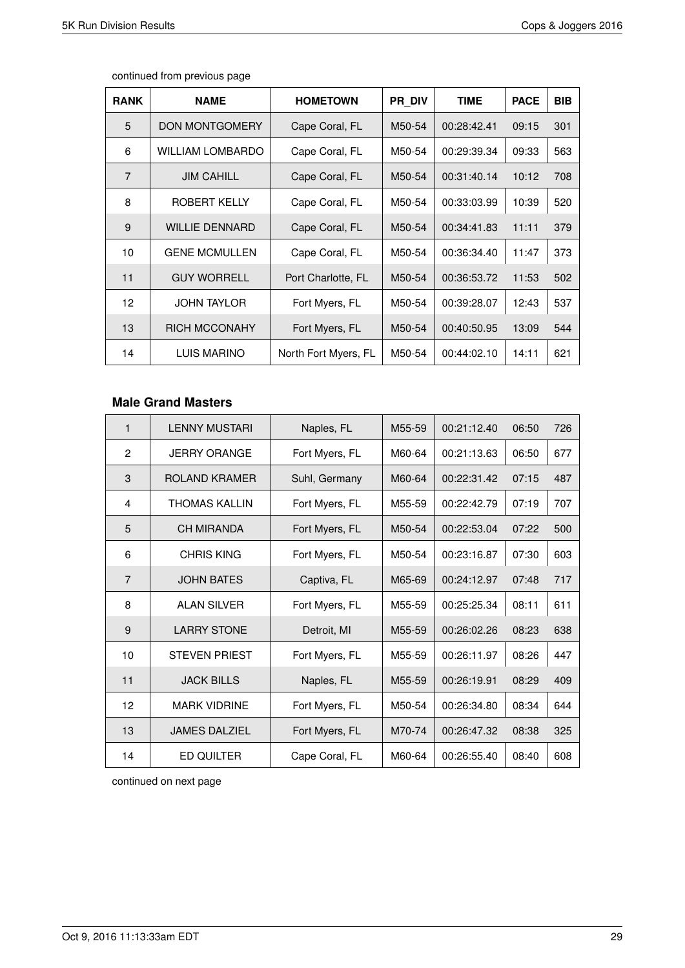$\Gamma$ 

| <b>RANK</b>     | <b>NAME</b>             | <b>HOMETOWN</b>      | PR DIV | <b>TIME</b> | <b>PACE</b> | <b>BIB</b> |
|-----------------|-------------------------|----------------------|--------|-------------|-------------|------------|
| 5               | <b>DON MONTGOMERY</b>   | Cape Coral, FL       | M50-54 | 00:28:42.41 | 09:15       | 301        |
| 6               | <b>WILLIAM LOMBARDO</b> | Cape Coral, FL       | M50-54 | 00:29:39.34 | 09:33       | 563        |
| $\overline{7}$  | <b>JIM CAHILL</b>       | Cape Coral, FL       | M50-54 | 00:31:40.14 | 10:12       | 708        |
| 8               | ROBERT KELLY            | Cape Coral, FL       | M50-54 | 00:33:03.99 | 10:39       | 520        |
| 9               | <b>WILLIE DENNARD</b>   | Cape Coral, FL       | M50-54 | 00:34:41.83 | 11:11       | 379        |
| 10              | <b>GENE MCMULLEN</b>    | Cape Coral, FL       | M50-54 | 00:36:34.40 | 11:47       | 373        |
| 11              | <b>GUY WORRELL</b>      | Port Charlotte, FL   | M50-54 | 00:36:53.72 | 11:53       | 502        |
| 12 <sup>2</sup> | <b>JOHN TAYLOR</b>      | Fort Myers, FL       | M50-54 | 00:39:28.07 | 12:43       | 537        |
| 13              | <b>RICH MCCONAHY</b>    | Fort Myers, FL       | M50-54 | 00:40:50.95 | 13:09       | 544        |
| 14              | <b>LUIS MARINO</b>      | North Fort Myers, FL | M50-54 | 00:44:02.10 | 14:11       | 621        |

continued from previous page

### **Male Grand Masters**

| $\mathbf{1}$   | <b>LENNY MUSTARI</b> | Naples, FL     | M55-59 | 00:21:12.40 | 06:50 | 726 |
|----------------|----------------------|----------------|--------|-------------|-------|-----|
| 2              | <b>JERRY ORANGE</b>  | Fort Myers, FL | M60-64 | 00:21:13.63 | 06:50 | 677 |
| 3              | ROLAND KRAMER        | Suhl, Germany  | M60-64 | 00:22:31.42 | 07:15 | 487 |
| 4              | <b>THOMAS KALLIN</b> | Fort Myers, FL | M55-59 | 00:22:42.79 | 07:19 | 707 |
| 5              | <b>CH MIRANDA</b>    | Fort Myers, FL | M50-54 | 00:22:53.04 | 07:22 | 500 |
| 6              | <b>CHRIS KING</b>    | Fort Myers, FL | M50-54 | 00:23:16.87 | 07:30 | 603 |
| $\overline{7}$ | <b>JOHN BATES</b>    | Captiva, FL    | M65-69 | 00:24:12.97 | 07:48 | 717 |
| 8              | <b>ALAN SILVER</b>   | Fort Myers, FL | M55-59 | 00:25:25.34 | 08:11 | 611 |
| 9              | <b>LARRY STONE</b>   | Detroit, MI    | M55-59 | 00:26:02.26 | 08:23 | 638 |
| 10             | <b>STEVEN PRIEST</b> | Fort Myers, FL | M55-59 | 00:26:11.97 | 08:26 | 447 |
| 11             | <b>JACK BILLS</b>    | Naples, FL     | M55-59 | 00:26:19.91 | 08:29 | 409 |
| 12             | <b>MARK VIDRINE</b>  | Fort Myers, FL | M50-54 | 00:26:34.80 | 08:34 | 644 |
| 13             | <b>JAMES DALZIEL</b> | Fort Myers, FL | M70-74 | 00:26:47.32 | 08:38 | 325 |
| 14             | ED QUILTER           | Cape Coral, FL | M60-64 | 00:26:55.40 | 08:40 | 608 |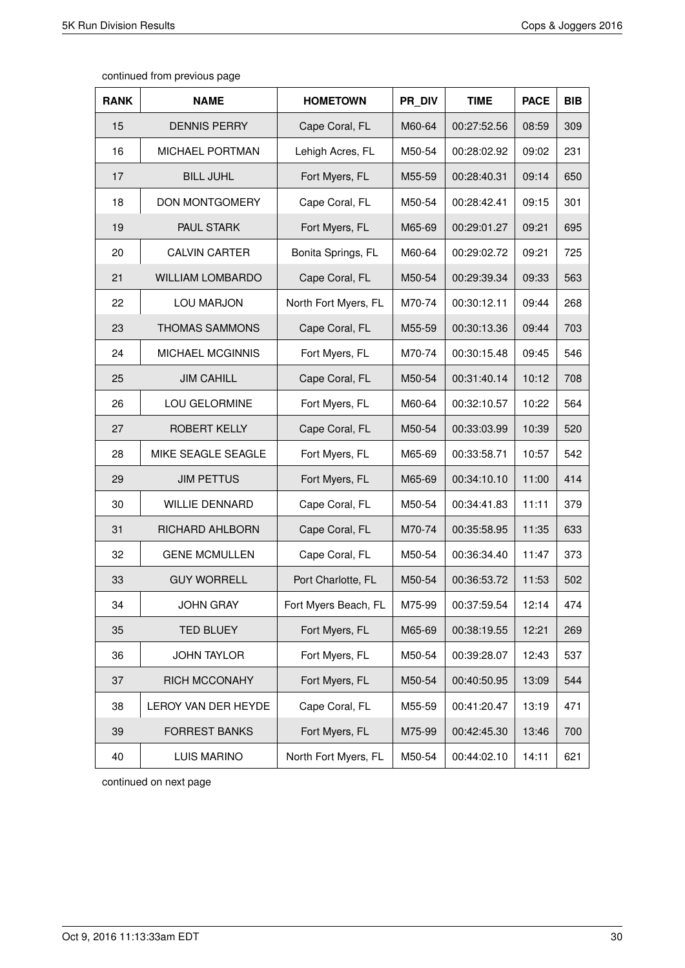| <b>RANK</b> | <b>NAME</b>             | <b>HOMETOWN</b>      | PR DIV | <b>TIME</b> | <b>PACE</b> | <b>BIB</b> |
|-------------|-------------------------|----------------------|--------|-------------|-------------|------------|
| 15          | <b>DENNIS PERRY</b>     | Cape Coral, FL       | M60-64 | 00:27:52.56 | 08:59       | 309        |
| 16          | MICHAEL PORTMAN         | Lehigh Acres, FL     | M50-54 | 00:28:02.92 | 09:02       | 231        |
| 17          | <b>BILL JUHL</b>        | Fort Myers, FL       | M55-59 | 00:28:40.31 | 09:14       | 650        |
| 18          | <b>DON MONTGOMERY</b>   | Cape Coral, FL       | M50-54 | 00:28:42.41 | 09:15       | 301        |
| 19          | PAUL STARK              | Fort Myers, FL       | M65-69 | 00:29:01.27 | 09:21       | 695        |
| 20          | <b>CALVIN CARTER</b>    | Bonita Springs, FL   | M60-64 | 00:29:02.72 | 09:21       | 725        |
| 21          | <b>WILLIAM LOMBARDO</b> | Cape Coral, FL       | M50-54 | 00:29:39.34 | 09:33       | 563        |
| 22          | LOU MARJON              | North Fort Myers, FL | M70-74 | 00:30:12.11 | 09:44       | 268        |
| 23          | <b>THOMAS SAMMONS</b>   | Cape Coral, FL       | M55-59 | 00:30:13.36 | 09:44       | 703        |
| 24          | MICHAEL MCGINNIS        | Fort Myers, FL       | M70-74 | 00:30:15.48 | 09:45       | 546        |
| 25          | <b>JIM CAHILL</b>       | Cape Coral, FL       | M50-54 | 00:31:40.14 | 10:12       | 708        |
| 26          | LOU GELORMINE           | Fort Myers, FL       | M60-64 | 00:32:10.57 | 10:22       | 564        |
| 27          | ROBERT KELLY            | Cape Coral, FL       | M50-54 | 00:33:03.99 | 10:39       | 520        |
| 28          | MIKE SEAGLE SEAGLE      | Fort Myers, FL       | M65-69 | 00:33:58.71 | 10:57       | 542        |
| 29          | <b>JIM PETTUS</b>       | Fort Myers, FL       | M65-69 | 00:34:10.10 | 11:00       | 414        |
| 30          | <b>WILLIE DENNARD</b>   | Cape Coral, FL       | M50-54 | 00:34:41.83 | 11:11       | 379        |
| 31          | RICHARD AHLBORN         | Cape Coral, FL       | M70-74 | 00:35:58.95 | 11:35       | 633        |
| 32          | <b>GENE MCMULLEN</b>    | Cape Coral, FL       | M50-54 | 00:36:34.40 | 11:47       | 373        |
| 33          | <b>GUY WORRELL</b>      | Port Charlotte, FL   | M50-54 | 00:36:53.72 | 11:53       | 502        |
| 34          | <b>JOHN GRAY</b>        | Fort Myers Beach, FL | M75-99 | 00:37:59.54 | 12:14       | 474        |
| 35          | <b>TED BLUEY</b>        | Fort Myers, FL       | M65-69 | 00:38:19.55 | 12:21       | 269        |
| 36          | <b>JOHN TAYLOR</b>      | Fort Myers, FL       | M50-54 | 00:39:28.07 | 12:43       | 537        |
| 37          | <b>RICH MCCONAHY</b>    | Fort Myers, FL       | M50-54 | 00:40:50.95 | 13:09       | 544        |
| 38          | LEROY VAN DER HEYDE     | Cape Coral, FL       | M55-59 | 00:41:20.47 | 13:19       | 471        |
| 39          | <b>FORREST BANKS</b>    | Fort Myers, FL       | M75-99 | 00:42:45.30 | 13:46       | 700        |
| 40          | <b>LUIS MARINO</b>      | North Fort Myers, FL | M50-54 | 00:44:02.10 | 14:11       | 621        |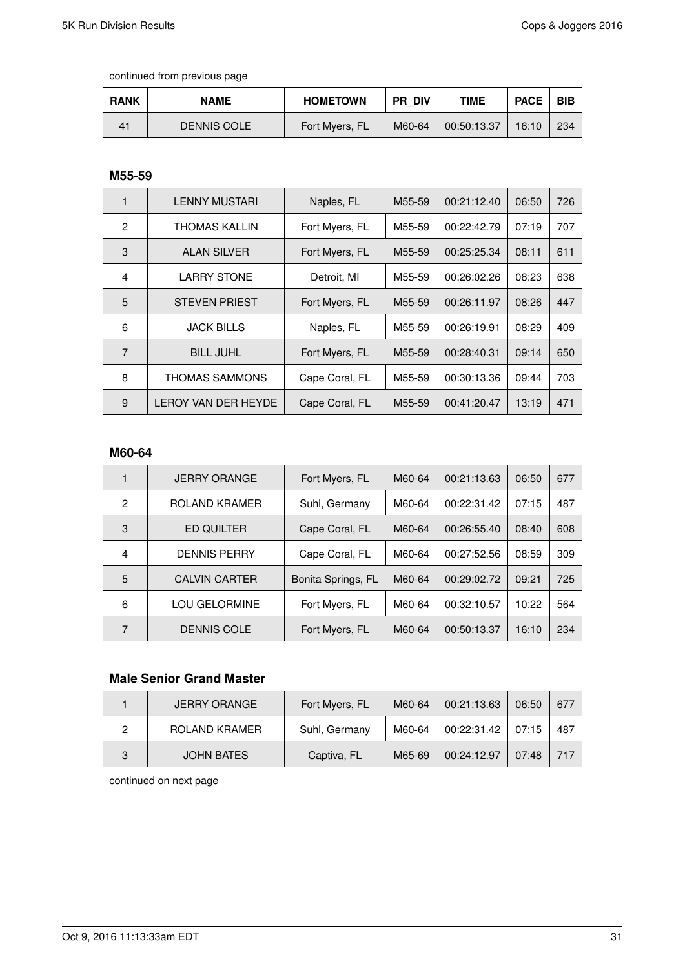| <b>RANK</b> | <b>NAME</b>        | <b>HOMETOWN</b> | <b>PR DIV</b> | <b>TIME</b> | <b>PACE</b> | <b>BIB</b> |
|-------------|--------------------|-----------------|---------------|-------------|-------------|------------|
| 41          | <b>DENNIS COLE</b> | Fort Myers, FL  | M60-64        | 00:50:13.37 | 16:10       | 234        |

### **M55-59**

|                | <b>LENNY MUSTARI</b>  | Naples, FL     | M55-59 | 00:21:12.40 | 06:50 | 726 |
|----------------|-----------------------|----------------|--------|-------------|-------|-----|
| $\overline{2}$ | THOMAS KALLIN         | Fort Myers, FL | M55-59 | 00:22:42.79 | 07:19 | 707 |
| 3              | <b>ALAN SILVER</b>    | Fort Myers, FL | M55-59 | 00:25:25.34 | 08:11 | 611 |
| 4              | <b>LARRY STONE</b>    | Detroit, MI    | M55-59 | 00:26:02.26 | 08:23 | 638 |
| 5              | <b>STEVEN PRIEST</b>  | Fort Myers, FL | M55-59 | 00:26:11.97 | 08:26 | 447 |
| 6              | <b>JACK BILLS</b>     | Naples, FL     | M55-59 | 00:26:19.91 | 08:29 | 409 |
| $\overline{7}$ | <b>BILL JUHL</b>      | Fort Myers, FL | M55-59 | 00:28:40.31 | 09:14 | 650 |
| 8              | <b>THOMAS SAMMONS</b> | Cape Coral, FL | M55-59 | 00:30:13.36 | 09:44 | 703 |
| 9              | LEROY VAN DER HEYDE   | Cape Coral, FL | M55-59 | 00:41:20.47 | 13:19 | 471 |

#### **M60-64**

|   | <b>JERRY ORANGE</b>  | Fort Myers, FL     | M60-64 | 00:21:13.63 | 06:50 | 677 |
|---|----------------------|--------------------|--------|-------------|-------|-----|
| 2 | ROLAND KRAMER        | Suhl, Germany      | M60-64 | 00:22:31.42 | 07:15 | 487 |
| 3 | <b>ED QUILTER</b>    | Cape Coral, FL     | M60-64 | 00:26:55.40 | 08:40 | 608 |
| 4 | <b>DENNIS PERRY</b>  | Cape Coral, FL     | M60-64 | 00:27:52.56 | 08:59 | 309 |
| 5 | <b>CALVIN CARTER</b> | Bonita Springs, FL | M60-64 | 00:29:02.72 | 09:21 | 725 |
| 6 | <b>LOU GELORMINE</b> | Fort Myers, FL     | M60-64 | 00:32:10.57 | 10:22 | 564 |
| 7 | <b>DENNIS COLE</b>   | Fort Myers, FL     | M60-64 | 00:50:13.37 | 16:10 | 234 |

### **Male Senior Grand Master**

|   | <b>JERRY ORANGE</b> | Fort Myers, FL | M60-64 | 00:21:13.63 | 06:50 | 677 |
|---|---------------------|----------------|--------|-------------|-------|-----|
|   | ROLAND KRAMER       | Suhl, Germany  | M60-64 | 00:22:31.42 | 07:15 | 487 |
| 3 | <b>JOHN BATES</b>   | Captiva, FL    | M65-69 | 00:24:12.97 | 07:48 | 717 |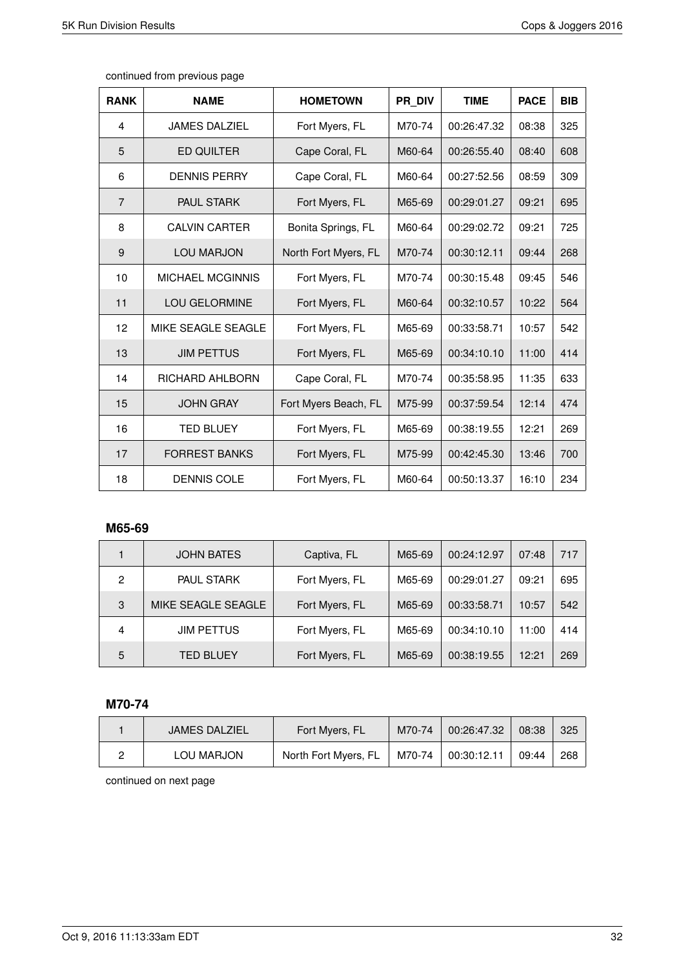| <b>RANK</b>    | <b>NAME</b>             | <b>HOMETOWN</b>      | PR DIV | <b>TIME</b> | <b>PACE</b> | <b>BIB</b> |
|----------------|-------------------------|----------------------|--------|-------------|-------------|------------|
| 4              | <b>JAMES DALZIEL</b>    | Fort Myers, FL       | M70-74 | 00:26:47.32 | 08:38       | 325        |
| 5              | <b>ED QUILTER</b>       | Cape Coral, FL       | M60-64 | 00:26:55.40 | 08:40       | 608        |
| 6              | <b>DENNIS PERRY</b>     | Cape Coral, FL       | M60-64 | 00:27:52.56 | 08:59       | 309        |
| $\overline{7}$ | <b>PAUL STARK</b>       | Fort Myers, FL       | M65-69 | 00:29:01.27 | 09:21       | 695        |
| 8              | <b>CALVIN CARTER</b>    | Bonita Springs, FL   | M60-64 | 00:29:02.72 | 09:21       | 725        |
| 9              | <b>LOU MARJON</b>       | North Fort Myers, FL | M70-74 | 00:30:12.11 | 09:44       | 268        |
| 10             | <b>MICHAEL MCGINNIS</b> | Fort Myers, FL       | M70-74 | 00:30:15.48 | 09:45       | 546        |
| 11             | <b>LOU GELORMINE</b>    | Fort Myers, FL       | M60-64 | 00:32:10.57 | 10:22       | 564        |
| 12             | MIKE SEAGLE SEAGLE      | Fort Myers, FL       | M65-69 | 00:33:58.71 | 10:57       | 542        |
| 13             | <b>JIM PETTUS</b>       | Fort Myers, FL       | M65-69 | 00:34:10.10 | 11:00       | 414        |
| 14             | RICHARD AHLBORN         | Cape Coral, FL       | M70-74 | 00:35:58.95 | 11:35       | 633        |
| 15             | <b>JOHN GRAY</b>        | Fort Myers Beach, FL | M75-99 | 00:37:59.54 | 12:14       | 474        |
| 16             | <b>TED BLUEY</b>        | Fort Myers, FL       | M65-69 | 00:38:19.55 | 12:21       | 269        |
| 17             | <b>FORREST BANKS</b>    | Fort Myers, FL       | M75-99 | 00:42:45.30 | 13:46       | 700        |
| 18             | <b>DENNIS COLE</b>      | Fort Myers, FL       | M60-64 | 00:50:13.37 | 16:10       | 234        |

#### **M65-69**

|   | <b>JOHN BATES</b>  | Captiva, FL    | M65-69 | 00:24:12.97 | 07:48 | 717 |
|---|--------------------|----------------|--------|-------------|-------|-----|
| 2 | <b>PAUL STARK</b>  | Fort Myers, FL | M65-69 | 00:29:01.27 | 09:21 | 695 |
| 3 | MIKE SEAGLE SEAGLE | Fort Myers, FL | M65-69 | 00:33:58.71 | 10:57 | 542 |
| 4 | <b>JIM PETTUS</b>  | Fort Myers, FL | M65-69 | 00:34:10.10 | 11:00 | 414 |
| 5 | <b>TED BLUEY</b>   | Fort Myers, FL | M65-69 | 00:38:19.55 | 12:21 | 269 |

### **M70-74**

| <b>JAMES DALZIEL</b> | Fort Myers, FL       | M70-74           | 00:26:47.32 | 08:38 | 325 |
|----------------------|----------------------|------------------|-------------|-------|-----|
| LOU MARJON           | North Fort Myers, FL | $^+$ M70-74 $^+$ | 00:30:12.11 | 09:44 | 268 |